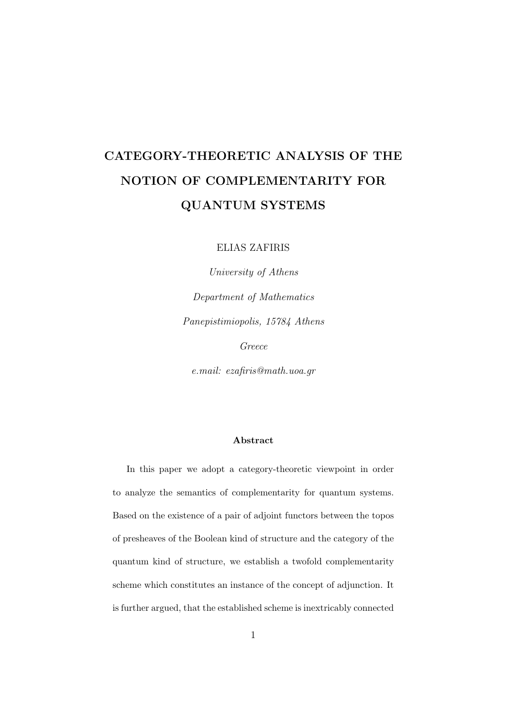### CATEGORY-THEORETIC ANALYSIS OF THE NOTION OF COMPLEMENTARITY FOR QUANTUM SYSTEMS

ELIAS ZAFIRIS

University of Athens Department of Mathematics Panepistimiopolis, 15784 Athens

Greece

e.mail: ezafiris@math.uoa.gr

#### Abstract

In this paper we adopt a category-theoretic viewpoint in order to analyze the semantics of complementarity for quantum systems. Based on the existence of a pair of adjoint functors between the topos of presheaves of the Boolean kind of structure and the category of the quantum kind of structure, we establish a twofold complementarity scheme which constitutes an instance of the concept of adjunction. It is further argued, that the established scheme is inextricably connected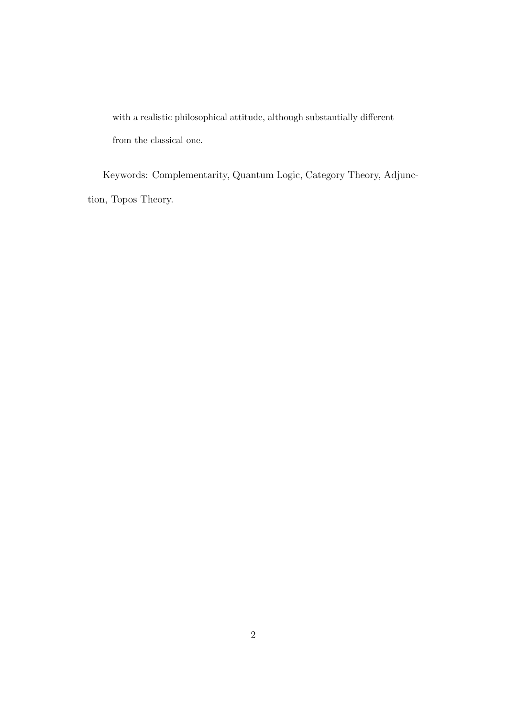with a realistic philosophical attitude, although substantially different from the classical one.

Keywords: Complementarity, Quantum Logic, Category Theory, Adjunction, Topos Theory.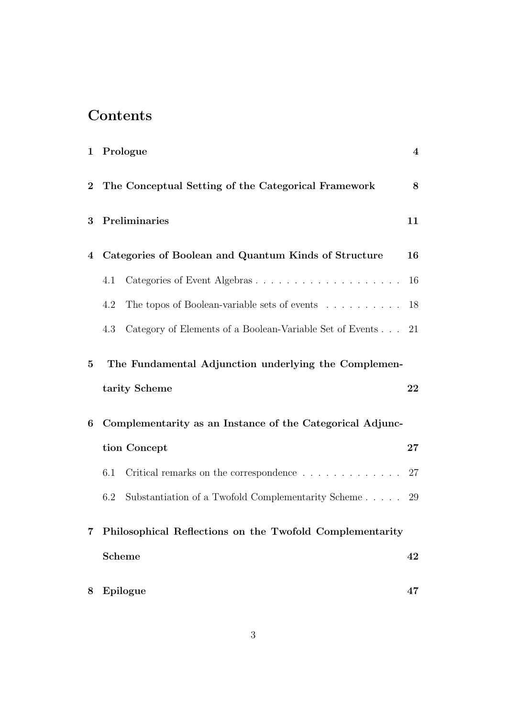### **Contents**

|                | 1 Prologue                                                                                            | $\bf{4}$ |
|----------------|-------------------------------------------------------------------------------------------------------|----------|
| $\overline{2}$ | The Conceptual Setting of the Categorical Framework                                                   | 8        |
| 3              | Preliminaries                                                                                         | 11       |
| 4              | Categories of Boolean and Quantum Kinds of Structure                                                  | 16       |
|                | 4.1                                                                                                   | 16       |
|                | 4.2<br>The topos of Boolean-variable sets of events                                                   | 18       |
|                | Category of Elements of a Boolean-Variable Set of Events 21<br>4.3                                    |          |
| $\bf{5}$       | The Fundamental Adjunction underlying the Complemen-                                                  |          |
|                | tarity Scheme                                                                                         | 22       |
| 6              | Complementarity as an Instance of the Categorical Adjunc-                                             |          |
|                | tion Concept                                                                                          | $27\,$   |
|                | Critical remarks on the correspondence $\hfill\ldots\ldots\ldots\ldots\ldots\ldots\ldots\,$ 27<br>6.1 |          |
|                | Substantiation of a Twofold Complementarity Scheme $29$<br>6.2                                        |          |
|                | Philosophical Reflections on the Twofold Complementarity                                              |          |
|                | <b>Scheme</b>                                                                                         | 42       |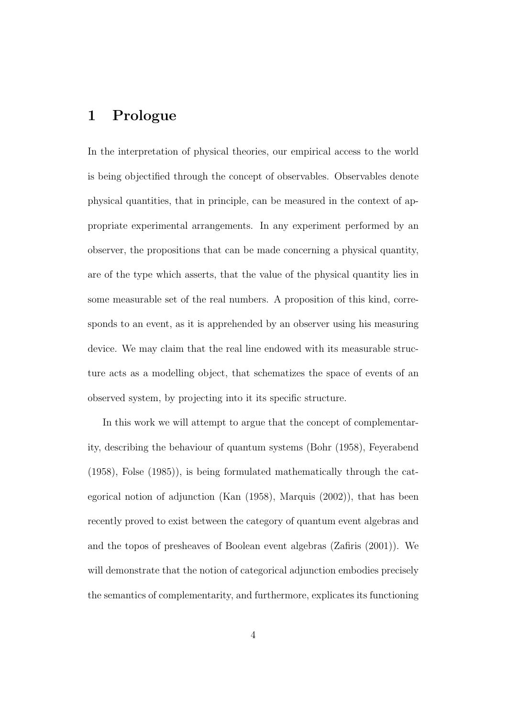### 1 Prologue

In the interpretation of physical theories, our empirical access to the world is being objectified through the concept of observables. Observables denote physical quantities, that in principle, can be measured in the context of appropriate experimental arrangements. In any experiment performed by an observer, the propositions that can be made concerning a physical quantity, are of the type which asserts, that the value of the physical quantity lies in some measurable set of the real numbers. A proposition of this kind, corresponds to an event, as it is apprehended by an observer using his measuring device. We may claim that the real line endowed with its measurable structure acts as a modelling object, that schematizes the space of events of an observed system, by projecting into it its specific structure.

In this work we will attempt to argue that the concept of complementarity, describing the behaviour of quantum systems (Bohr (1958), Feyerabend (1958), Folse (1985)), is being formulated mathematically through the categorical notion of adjunction (Kan (1958), Marquis (2002)), that has been recently proved to exist between the category of quantum event algebras and and the topos of presheaves of Boolean event algebras (Zafiris (2001)). We will demonstrate that the notion of categorical adjunction embodies precisely the semantics of complementarity, and furthermore, explicates its functioning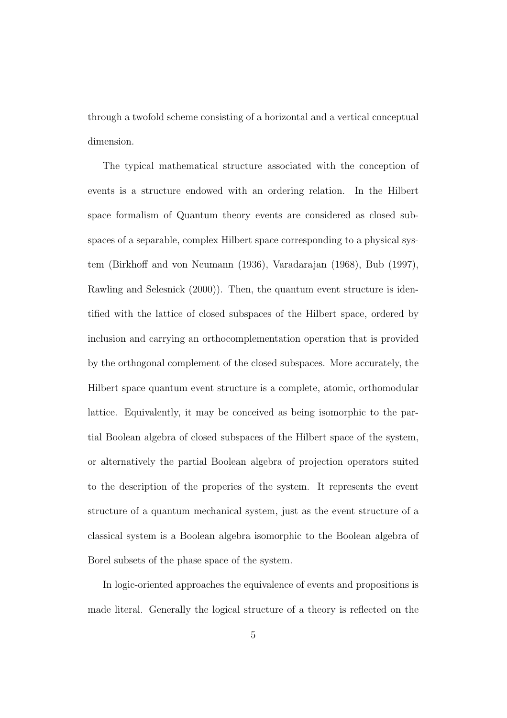through a twofold scheme consisting of a horizontal and a vertical conceptual dimension.

The typical mathematical structure associated with the conception of events is a structure endowed with an ordering relation. In the Hilbert space formalism of Quantum theory events are considered as closed subspaces of a separable, complex Hilbert space corresponding to a physical system (Birkhoff and von Neumann (1936), Varadarajan (1968), Bub (1997), Rawling and Selesnick (2000)). Then, the quantum event structure is identified with the lattice of closed subspaces of the Hilbert space, ordered by inclusion and carrying an orthocomplementation operation that is provided by the orthogonal complement of the closed subspaces. More accurately, the Hilbert space quantum event structure is a complete, atomic, orthomodular lattice. Equivalently, it may be conceived as being isomorphic to the partial Boolean algebra of closed subspaces of the Hilbert space of the system, or alternatively the partial Boolean algebra of projection operators suited to the description of the properies of the system. It represents the event structure of a quantum mechanical system, just as the event structure of a classical system is a Boolean algebra isomorphic to the Boolean algebra of Borel subsets of the phase space of the system.

In logic-oriented approaches the equivalence of events and propositions is made literal. Generally the logical structure of a theory is reflected on the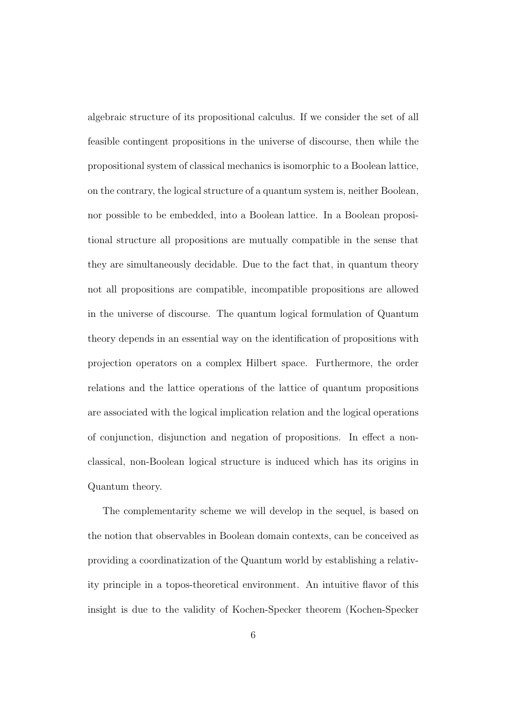algebraic structure of its propositional calculus. If we consider the set of all feasible contingent propositions in the universe of discourse, then while the propositional system of classical mechanics is isomorphic to a Boolean lattice, on the contrary, the logical structure of a quantum system is, neither Boolean, nor possible to be embedded, into a Boolean lattice. In a Boolean propositional structure all propositions are mutually compatible in the sense that they are simultaneously decidable. Due to the fact that, in quantum theory not all propositions are compatible, incompatible propositions are allowed in the universe of discourse. The quantum logical formulation of Quantum theory depends in an essential way on the identification of propositions with projection operators on a complex Hilbert space. Furthermore, the order relations and the lattice operations of the lattice of quantum propositions are associated with the logical implication relation and the logical operations of conjunction, disjunction and negation of propositions. In effect a nonclassical, non-Boolean logical structure is induced which has its origins in Quantum theory.

The complementarity scheme we will develop in the sequel, is based on the notion that observables in Boolean domain contexts, can be conceived as providing a coordinatization of the Quantum world by establishing a relativity principle in a topos-theoretical environment. An intuitive flavor of this insight is due to the validity of Kochen-Specker theorem (Kochen-Specker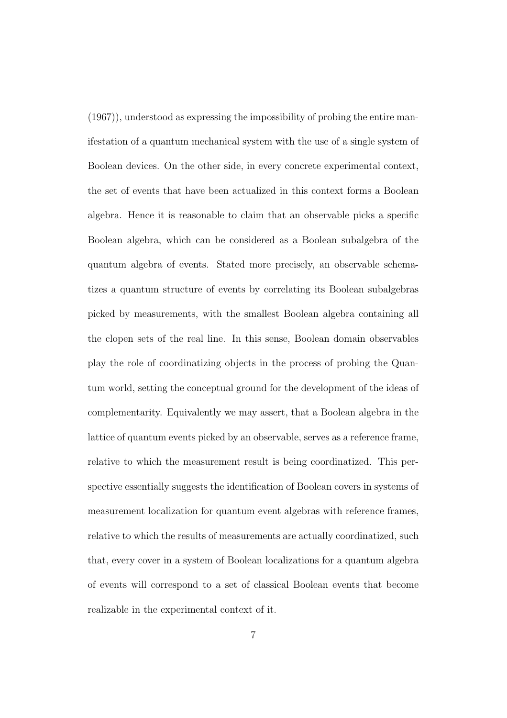(1967)), understood as expressing the impossibility of probing the entire manifestation of a quantum mechanical system with the use of a single system of Boolean devices. On the other side, in every concrete experimental context, the set of events that have been actualized in this context forms a Boolean algebra. Hence it is reasonable to claim that an observable picks a specific Boolean algebra, which can be considered as a Boolean subalgebra of the quantum algebra of events. Stated more precisely, an observable schematizes a quantum structure of events by correlating its Boolean subalgebras picked by measurements, with the smallest Boolean algebra containing all the clopen sets of the real line. In this sense, Boolean domain observables play the role of coordinatizing objects in the process of probing the Quantum world, setting the conceptual ground for the development of the ideas of complementarity. Equivalently we may assert, that a Boolean algebra in the lattice of quantum events picked by an observable, serves as a reference frame, relative to which the measurement result is being coordinatized. This perspective essentially suggests the identification of Boolean covers in systems of measurement localization for quantum event algebras with reference frames, relative to which the results of measurements are actually coordinatized, such that, every cover in a system of Boolean localizations for a quantum algebra of events will correspond to a set of classical Boolean events that become realizable in the experimental context of it.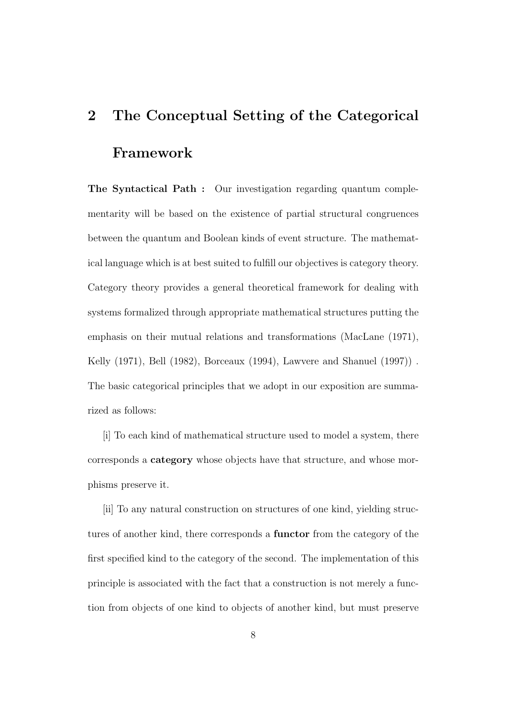# 2 The Conceptual Setting of the Categorical Framework

The Syntactical Path : Our investigation regarding quantum complementarity will be based on the existence of partial structural congruences between the quantum and Boolean kinds of event structure. The mathematical language which is at best suited to fulfill our objectives is category theory. Category theory provides a general theoretical framework for dealing with systems formalized through appropriate mathematical structures putting the emphasis on their mutual relations and transformations (MacLane (1971), Kelly (1971), Bell (1982), Borceaux (1994), Lawvere and Shanuel (1997)) . The basic categorical principles that we adopt in our exposition are summarized as follows:

[i] To each kind of mathematical structure used to model a system, there corresponds a category whose objects have that structure, and whose morphisms preserve it.

[ii] To any natural construction on structures of one kind, yielding structures of another kind, there corresponds a functor from the category of the first specified kind to the category of the second. The implementation of this principle is associated with the fact that a construction is not merely a function from objects of one kind to objects of another kind, but must preserve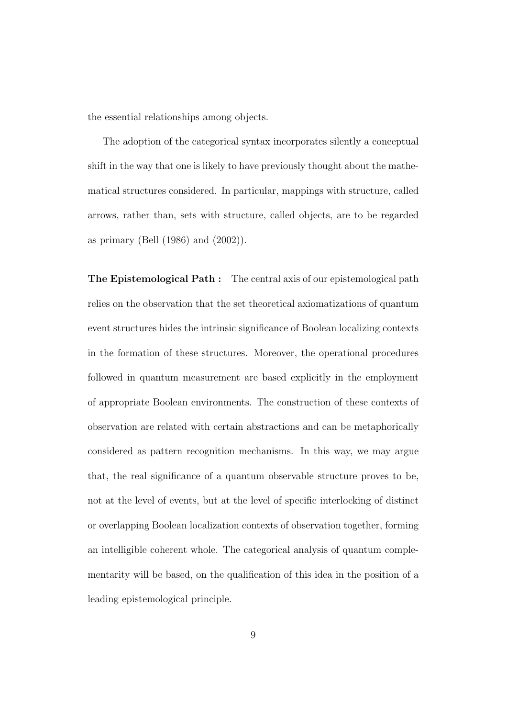the essential relationships among objects.

The adoption of the categorical syntax incorporates silently a conceptual shift in the way that one is likely to have previously thought about the mathematical structures considered. In particular, mappings with structure, called arrows, rather than, sets with structure, called objects, are to be regarded as primary (Bell (1986) and (2002)).

The Epistemological Path : The central axis of our epistemological path relies on the observation that the set theoretical axiomatizations of quantum event structures hides the intrinsic significance of Boolean localizing contexts in the formation of these structures. Moreover, the operational procedures followed in quantum measurement are based explicitly in the employment of appropriate Boolean environments. The construction of these contexts of observation are related with certain abstractions and can be metaphorically considered as pattern recognition mechanisms. In this way, we may argue that, the real significance of a quantum observable structure proves to be, not at the level of events, but at the level of specific interlocking of distinct or overlapping Boolean localization contexts of observation together, forming an intelligible coherent whole. The categorical analysis of quantum complementarity will be based, on the qualification of this idea in the position of a leading epistemological principle.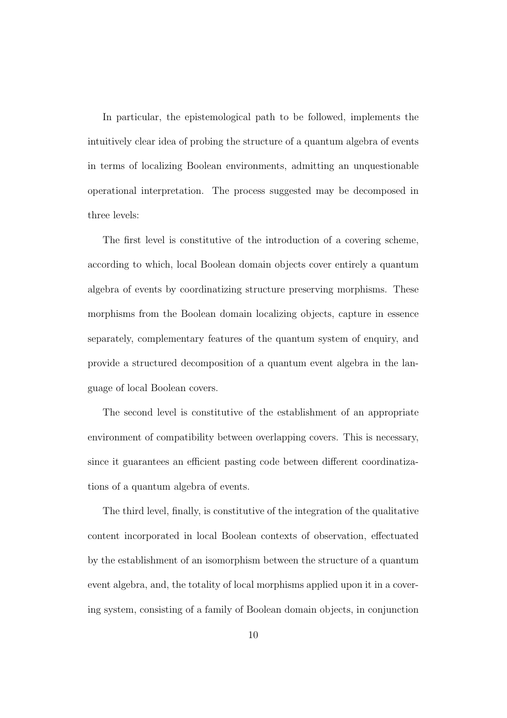In particular, the epistemological path to be followed, implements the intuitively clear idea of probing the structure of a quantum algebra of events in terms of localizing Boolean environments, admitting an unquestionable operational interpretation. The process suggested may be decomposed in three levels:

The first level is constitutive of the introduction of a covering scheme, according to which, local Boolean domain objects cover entirely a quantum algebra of events by coordinatizing structure preserving morphisms. These morphisms from the Boolean domain localizing objects, capture in essence separately, complementary features of the quantum system of enquiry, and provide a structured decomposition of a quantum event algebra in the language of local Boolean covers.

The second level is constitutive of the establishment of an appropriate environment of compatibility between overlapping covers. This is necessary, since it guarantees an efficient pasting code between different coordinatizations of a quantum algebra of events.

The third level, finally, is constitutive of the integration of the qualitative content incorporated in local Boolean contexts of observation, effectuated by the establishment of an isomorphism between the structure of a quantum event algebra, and, the totality of local morphisms applied upon it in a covering system, consisting of a family of Boolean domain objects, in conjunction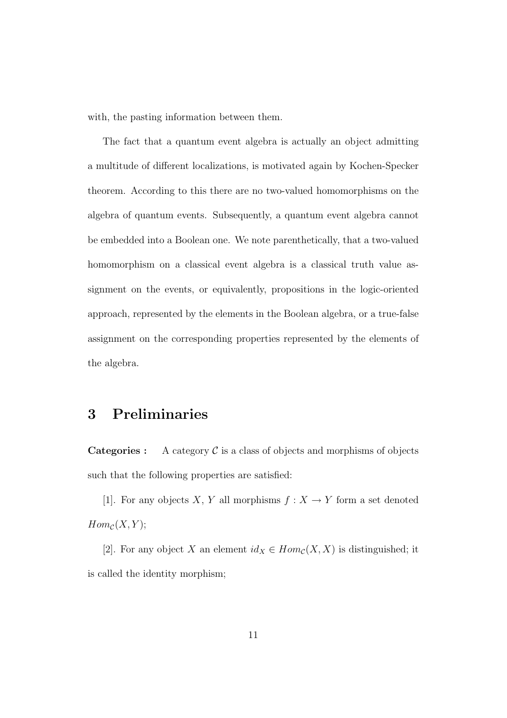with, the pasting information between them.

The fact that a quantum event algebra is actually an object admitting a multitude of different localizations, is motivated again by Kochen-Specker theorem. According to this there are no two-valued homomorphisms on the algebra of quantum events. Subsequently, a quantum event algebra cannot be embedded into a Boolean one. We note parenthetically, that a two-valued homomorphism on a classical event algebra is a classical truth value assignment on the events, or equivalently, propositions in the logic-oriented approach, represented by the elements in the Boolean algebra, or a true-false assignment on the corresponding properties represented by the elements of the algebra.

### 3 Preliminaries

**Categories :** A category  $C$  is a class of objects and morphisms of objects such that the following properties are satisfied:

[1]. For any objects X, Y all morphisms  $f: X \to Y$  form a set denoted  $Hom_{\mathcal{C}}(X, Y);$ 

[2]. For any object X an element  $id_X \in Hom_{\mathcal{C}}(X,X)$  is distinguished; it is called the identity morphism;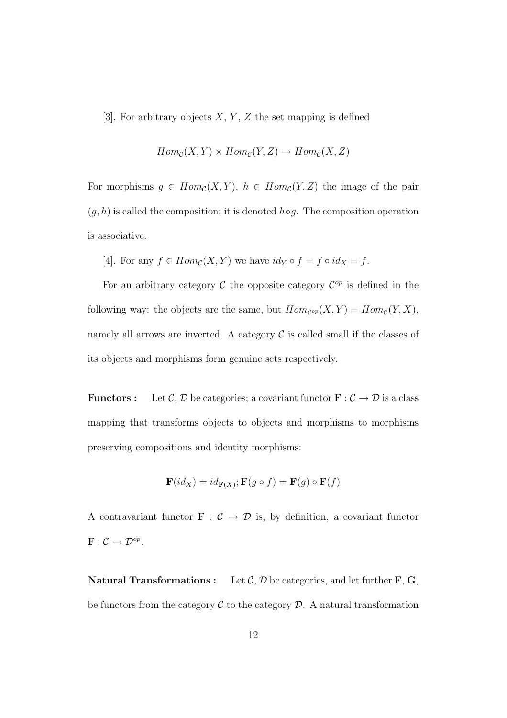[3]. For arbitrary objects  $X, Y, Z$  the set mapping is defined

$$
Hom_{\mathcal{C}}(X, Y) \times Hom_{\mathcal{C}}(Y, Z) \to Hom_{\mathcal{C}}(X, Z)
$$

For morphisms  $g \in Hom_{\mathcal{C}}(X, Y), h \in Hom_{\mathcal{C}}(Y, Z)$  the image of the pair  $(g, h)$  is called the composition; it is denoted  $h \circ g$ . The composition operation is associative.

[4]. For any  $f \in Hom_{\mathcal{C}}(X, Y)$  we have  $id_Y \circ f = f \circ id_X = f$ .

For an arbitrary category  $\mathcal C$  the opposite category  $\mathcal C^{op}$  is defined in the following way: the objects are the same, but  $Hom_{\mathcal{C}^{op}}(X,Y) = Hom_{\mathcal{C}}(Y,X)$ , namely all arrows are inverted. A category  $\mathcal C$  is called small if the classes of its objects and morphisms form genuine sets respectively.

**Functors :** Let C, D be categories; a covariant functor  $\mathbf{F} : \mathcal{C} \to \mathcal{D}$  is a class mapping that transforms objects to objects and morphisms to morphisms preserving compositions and identity morphisms:

$$
\mathbf{F}(id_X) = id_{\mathbf{F}(X)}; \mathbf{F}(g \circ f) = \mathbf{F}(g) \circ \mathbf{F}(f)
$$

A contravariant functor  $\mathbf{F}$  :  $\mathcal{C} \rightarrow \mathcal{D}$  is, by definition, a covariant functor  $\mathbf{F}: \mathcal{C} \to \mathcal{D}^{op}.$ 

**Natural Transformations :** Let  $\mathcal{C}, \mathcal{D}$  be categories, and let further  $\mathbf{F}, \mathbf{G},$ be functors from the category  $\mathcal C$  to the category  $\mathcal D$ . A natural transformation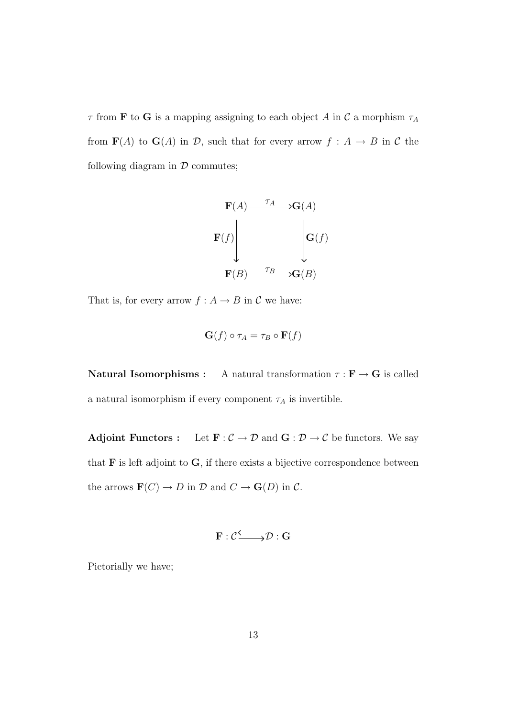$\tau$  from **F** to **G** is a mapping assigning to each object A in C a morphism  $\tau_A$ from  $F(A)$  to  $G(A)$  in  $D$ , such that for every arrow  $f : A \rightarrow B$  in C the following diagram in  $\mathcal D$  commutes;



That is, for every arrow  $f : A \to B$  in  $C$  we have:

$$
\mathbf{G}(f) \circ \tau_A = \tau_B \circ \mathbf{F}(f)
$$

**Natural Isomorphisms :** A natural transformation  $\tau : \mathbf{F} \to \mathbf{G}$  is called a natural isomorphism if every component  $\tau_A$  is invertible.

Adjoint Functors : Let  $\mathbf{F} : \mathcal{C} \to \mathcal{D}$  and  $\mathbf{G} : \mathcal{D} \to \mathcal{C}$  be functors. We say that  $\bf{F}$  is left adjoint to  $\bf{G}$ , if there exists a bijective correspondence between the arrows  $\mathbf{F}(C) \to D$  in  $D$  and  $C \to \mathbf{G}(D)$  in  $C$ .

$$
\mathbf{F}:\mathcal{C}\overline{\longrightarrow }\mathcal{D}:\mathbf{G}%
$$

Pictorially we have;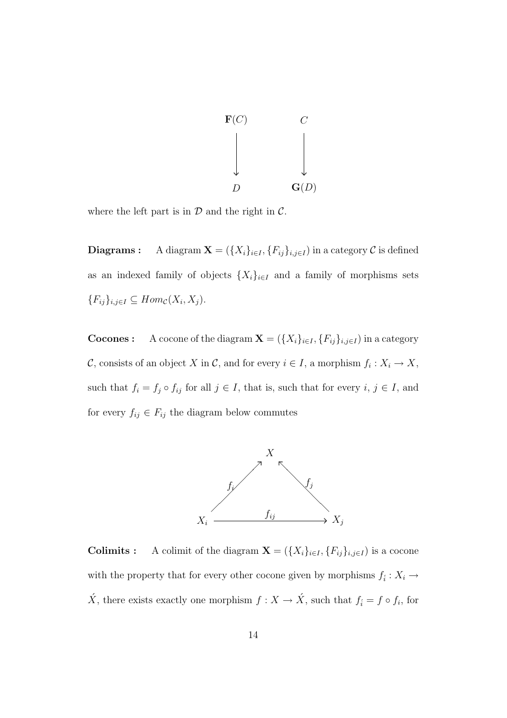

where the left part is in  $\mathcal D$  and the right in  $\mathcal C$ .

**Diagrams :** A diagram  $\mathbf{X} = (\{X_i\}_{i \in I}, \{F_{ij}\}_{i,j \in I})$  in a category  $C$  is defined as an indexed family of objects  $\{X_i\}_{i\in I}$  and a family of morphisms sets  ${F_{ij}}_{i,j\in I} \subseteq Hom_{\mathcal{C}}(X_i,X_j).$ 

**Cocones :** A cocone of the diagram  $\mathbf{X} = (\{X_i\}_{i\in I}, \{F_{ij}\}_{i,j\in I})$  in a category C, consists of an object X in C, and for every  $i \in I$ , a morphism  $f_i: X_i \to X$ , such that  $f_i = f_j \circ f_{ij}$  for all  $j \in I$ , that is, such that for every  $i, j \in I$ , and for every  $f_{ij} \in F_{ij}$  the diagram below commutes



**Colimits :** A colimit of the diagram  $\mathbf{X} = (\{X_i\}_{i \in I}, \{F_{ij}\}_{i,j \in I})$  is a cocone with the property that for every other cocone given by morphisms  $f_i: X_i \to$  $\acute{X}$ , there exists exactly one morphism  $f: X \to \acute{X}$ , such that  $f_i = f \circ f_i$ , for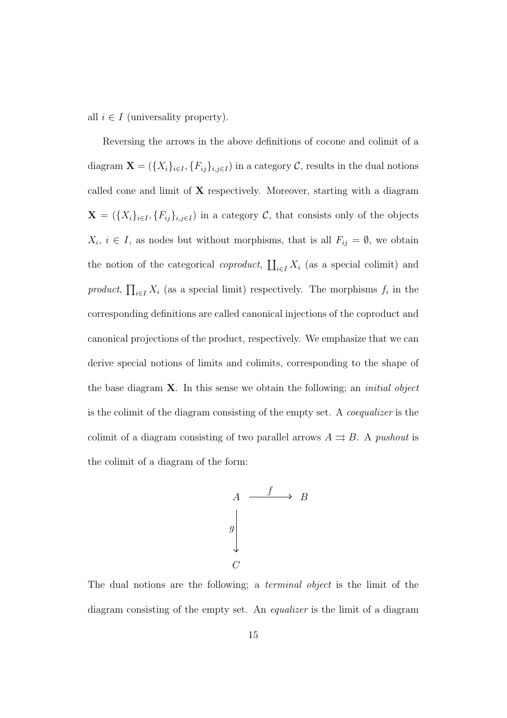all  $i \in I$  (universality property).

Reversing the arrows in the above definitions of cocone and colimit of a diagram  $\mathbf{X} = (\{X_i\}_{i \in I}, \{F_{ij}\}_{i,j \in I})$  in a category  $\mathcal{C}$ , results in the dual notions called cone and limit of X respectively. Moreover, starting with a diagram  $\mathbf{X} = (\{X_i\}_{i \in I}, \{F_{ij}\}_{i,j \in I})$  in a category  $\mathcal{C}$ , that consists only of the objects  $X_i, i \in I$ , as nodes but without morphisms, that is all  $F_{ij} = \emptyset$ , we obtain the notion of the categorical coproduct,  $\overline{r}$  $_{i\in I} X_i$  (as a special colimit) and product,  $\overline{a}$  $i\in I X_i$  (as a special limit) respectively. The morphisms  $f_i$  in the corresponding definitions are called canonical injections of the coproduct and canonical projections of the product, respectively. We emphasize that we can derive special notions of limits and colimits, corresponding to the shape of the base diagram  $X$ . In this sense we obtain the following; an *initial object* is the colimit of the diagram consisting of the empty set. A coequalizer is the colimit of a diagram consisting of two parallel arrows  $A \rightrightarrows B$ . A *pushout* is the colimit of a diagram of the form:



The dual notions are the following; a terminal object is the limit of the diagram consisting of the empty set. An equalizer is the limit of a diagram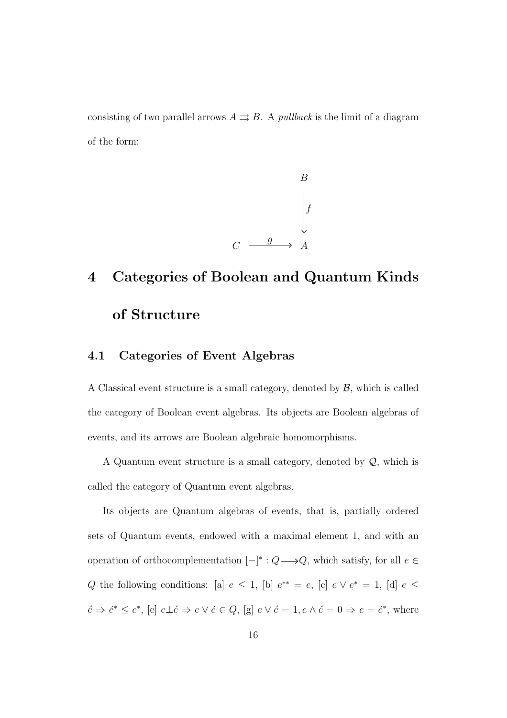consisting of two parallel arrows  $A \rightrightarrows B$ . A *pullback* is the limit of a diagram of the form:



# 4 Categories of Boolean and Quantum Kinds of Structure

#### 4.1 Categories of Event Algebras

A Classical event structure is a small category, denoted by  $\beta$ , which is called the category of Boolean event algebras. Its objects are Boolean algebras of events, and its arrows are Boolean algebraic homomorphisms.

A Quantum event structure is a small category, denoted by  $Q$ , which is called the category of Quantum event algebras.

Its objects are Quantum algebras of events, that is, partially ordered sets of Quantum events, endowed with a maximal element 1, and with an operation of orthocomplementation  $[-]^* : Q \longrightarrow Q$ , which satisfy, for all  $e \in$ Q the following conditions: [a]  $e \leq 1$ , [b]  $e^{**} = e$ , [c]  $e \vee e^* = 1$ , [d]  $e \leq$  $\acute{e} \Rightarrow \acute{e}^* \leq e^*$ , [e]  $e \bot \acute{e} \Rightarrow e \lor \acute{e} \in Q$ , [g]  $e \lor \acute{e} = 1, e \land \acute{e} = 0 \Rightarrow e = \acute{e}^*$ , where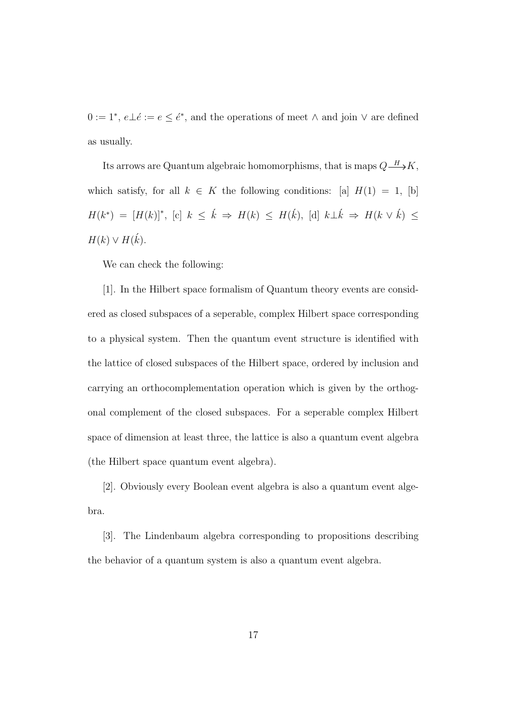$0 := 1^*, e \bot e := e \leq e^*$ , and the operations of meet  $\wedge$  and join  $\vee$  are defined as usually.

Its arrows are Quantum algebraic homomorphisms, that is maps  $Q \rightarrow K$ , which satisfy, for all  $k \in K$  the following conditions: [a]  $H(1) = 1$ , [b]  $H(k^*) = [H(k)]^*,$  [c]  $k \leq \hat{k} \Rightarrow H(k) \leq H(\hat{k}),$  [d]  $k \perp \hat{k} \Rightarrow H(k \vee \hat{k}) \leq$  $H(k) \vee H(\vec{k}).$ 

We can check the following:

[1]. In the Hilbert space formalism of Quantum theory events are considered as closed subspaces of a seperable, complex Hilbert space corresponding to a physical system. Then the quantum event structure is identified with the lattice of closed subspaces of the Hilbert space, ordered by inclusion and carrying an orthocomplementation operation which is given by the orthogonal complement of the closed subspaces. For a seperable complex Hilbert space of dimension at least three, the lattice is also a quantum event algebra (the Hilbert space quantum event algebra).

[2]. Obviously every Boolean event algebra is also a quantum event algebra.

[3]. The Lindenbaum algebra corresponding to propositions describing the behavior of a quantum system is also a quantum event algebra.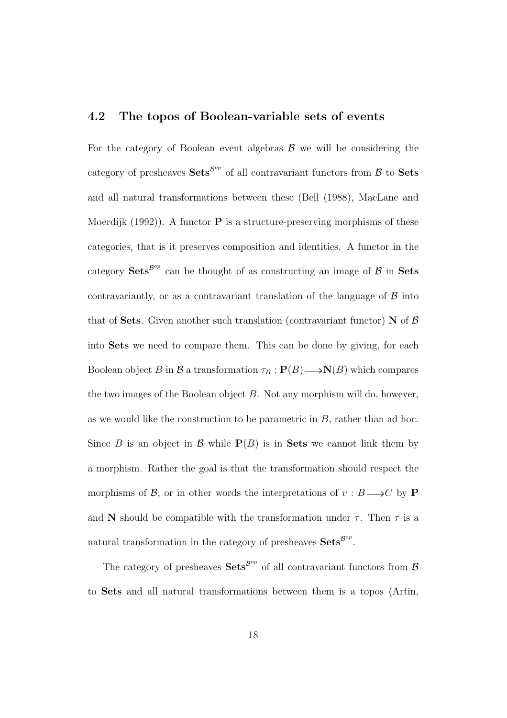#### 4.2 The topos of Boolean-variable sets of events

For the category of Boolean event algebras  $\beta$  we will be considering the category of presheaves  $\textbf{Sets}^{\mathcal{B}^{op}}$  of all contravariant functors from  $\mathcal B$  to  $\textbf{Sets}$ and all natural transformations between these (Bell (1988), MacLane and Moerdijk (1992)). A functor **P** is a structure-preserving morphisms of these categories, that is it preserves composition and identities. A functor in the category  $\textbf{Sets}^{\mathcal{B}^{op}}$  can be thought of as constructing an image of  $\mathcal B$  in Sets contravariantly, or as a contravariant translation of the language of  $\beta$  into that of Sets. Given another such translation (contravariant functor)  $N$  of  $\beta$ into Sets we need to compare them. This can be done by giving, for each Boolean object B in B a transformation  $\tau_B : \mathbf{P}(B) \longrightarrow \mathbf{N}(B)$  which compares the two images of the Boolean object B. Not any morphism will do, however, as we would like the construction to be parametric in  $B$ , rather than ad hoc. Since B is an object in B while  $P(B)$  is in Sets we cannot link them by a morphism. Rather the goal is that the transformation should respect the morphisms of  $\mathcal{B}$ , or in other words the interpretations of  $v : B \longrightarrow C$  by **P** and N should be compatible with the transformation under  $\tau$ . Then  $\tau$  is a natural transformation in the category of presheaves  $\textbf{Sets}^{\mathcal{B}^{op}}$ .

The category of presheaves  $\textbf{Sets}^{\mathcal{B}^{op}}$  of all contravariant functors from  $\mathcal{B}$ to Sets and all natural transformations between them is a topos (Artin,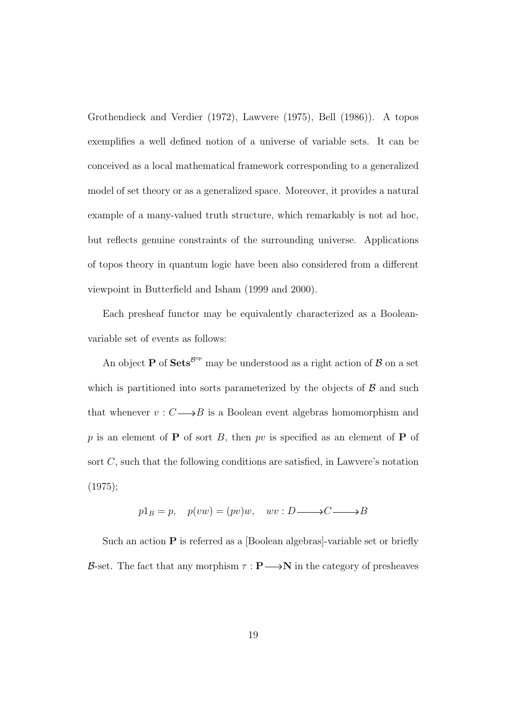Grothendieck and Verdier (1972), Lawvere (1975), Bell (1986)). A topos exemplifies a well defined notion of a universe of variable sets. It can be conceived as a local mathematical framework corresponding to a generalized model of set theory or as a generalized space. Moreover, it provides a natural example of a many-valued truth structure, which remarkably is not ad hoc, but reflects genuine constraints of the surrounding universe. Applications of topos theory in quantum logic have been also considered from a different viewpoint in Butterfield and Isham (1999 and 2000).

Each presheaf functor may be equivalently characterized as a Booleanvariable set of events as follows:

An object **P** of  $Sets^{\beta^{op}}$  may be understood as a right action of  $\beta$  on a set which is partitioned into sorts parameterized by the objects of  $\beta$  and such that whenever  $v : C \longrightarrow B$  is a Boolean event algebras homomorphism and p is an element of **P** of sort B, then pv is specified as an element of **P** of sort C, such that the following conditions are satisfied, in Lawvere's notation (1975);

$$
p1_B = p, \quad p(vw) = (pv)w, \quad wv : D \longrightarrow C \longrightarrow B
$$

Such an action  $P$  is referred as a [Boolean algebras]-variable set or briefly B-set. The fact that any morphism  $\tau : \mathbf{P} \longrightarrow \mathbf{N}$  in the category of presheaves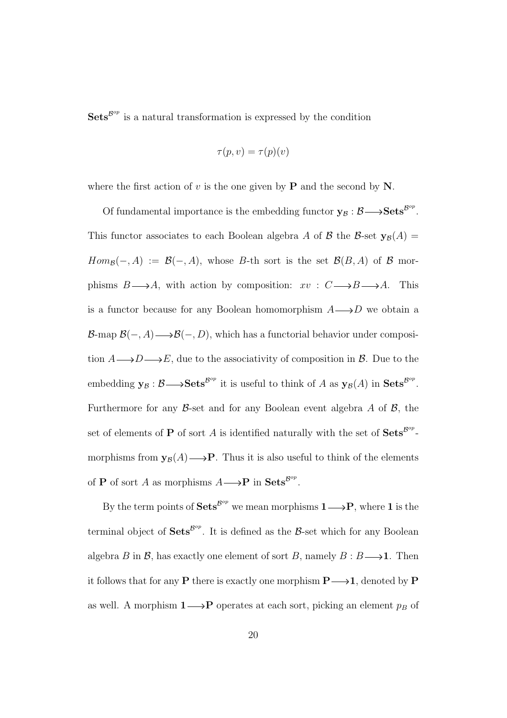$\textbf{Sets}^{\text{Bop}}$  is a natural transformation is expressed by the condition

$$
\tau(p, v) = \tau(p)(v)
$$

where the first action of v is the one given by  $P$  and the second by N.

Of fundamental importance is the embedding functor  $y_B : \mathcal{B} \longrightarrow \mathbf{Sets}^{\mathcal{B}^{op}}$ . This functor associates to each Boolean algebra A of B the B-set  $y_\beta(A)$  =  $Hom_{\mathcal{B}}(-, A) := \mathcal{B}(-, A)$ , whose B-th sort is the set  $\mathcal{B}(B, A)$  of  $\mathcal B$  morphisms  $B \longrightarrow A$ , with action by composition:  $xv : C \longrightarrow B \longrightarrow A$ . This is a functor because for any Boolean homomorphism  $A \longrightarrow D$  we obtain a B-map  $\mathcal{B}(-, A) \longrightarrow \mathcal{B}(-, D)$ , which has a functorial behavior under composition  $A \longrightarrow D \longrightarrow E$ , due to the associativity of composition in B. Due to the embedding  $y_B : \mathcal{B} \longrightarrow \mathbf{Sets}^{\mathcal{B}^{op}}$  it is useful to think of A as  $y_B(A)$  in  $\mathbf{Sets}^{\mathcal{B}^{op}}$ . Furthermore for any  $\beta$ -set and for any Boolean event algebra A of  $\beta$ , the set of elements of **P** of sort A is identified naturally with the set of  $\textbf{Sets}^{\mathcal{B}^{op}}$ . morphisms from  $y_B(A) \longrightarrow P$ . Thus it is also useful to think of the elements of **P** of sort A as morphisms  $A \longrightarrow \mathbf{P}$  in **Sets**<sup> $B^{op}$ </sup>.

By the term points of  $Sets^{\beta^{op}}$  we mean morphisms  $1 \longrightarrow P$ , where 1 is the terminal object of  $Sets^{\beta^{op}}$ . It is defined as the B-set which for any Boolean algebra B in B, has exactly one element of sort B, namely  $B : B \longrightarrow 1$ . Then it follows that for any **P** there is exactly one morphism  $P \longrightarrow 1$ , denoted by **P** as well. A morphism  $1 \longrightarrow P$  operates at each sort, picking an element  $p_B$  of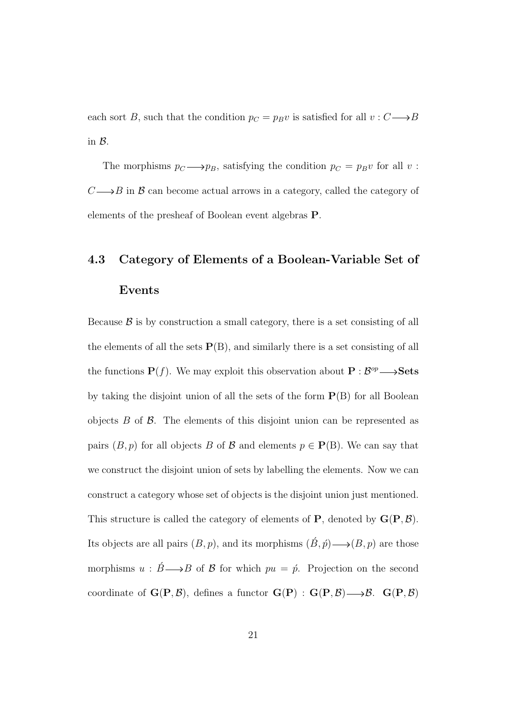each sort B, such that the condition  $p_C = p_B v$  is satisfied for all  $v : C \longrightarrow B$ in B.

The morphisms  $p_C \longrightarrow p_B$ , satisfying the condition  $p_C = p_Bv$  for all v:  $C \longrightarrow B$  in B can become actual arrows in a category, called the category of elements of the presheaf of Boolean event algebras P.

## 4.3 Category of Elements of a Boolean-Variable Set of Events

Because  $\beta$  is by construction a small category, there is a set consisting of all the elements of all the sets  $P(B)$ , and similarly there is a set consisting of all the functions  $P(f)$ . We may exploit this observation about  $P : \mathcal{B}^{op} \longrightarrow$  Sets by taking the disjoint union of all the sets of the form  $P(B)$  for all Boolean objects  $B$  of  $\beta$ . The elements of this disjoint union can be represented as pairs  $(B, p)$  for all objects B of B and elements  $p \in \mathbf{P}(B)$ . We can say that we construct the disjoint union of sets by labelling the elements. Now we can construct a category whose set of objects is the disjoint union just mentioned. This structure is called the category of elements of **P**, denoted by  $\mathbf{G}(\mathbf{P}, \mathcal{B})$ . Its objects are all pairs  $(B, p)$ , and its morphisms  $(\acute{B}, \acute{p}) \longrightarrow (B, p)$  are those morphisms  $u : \acute{B} \longrightarrow B$  of  $\acute{B}$  for which  $pu = \acute{p}$ . Projection on the second coordinate of  $\mathbf{G}(\mathbf{P}, \mathcal{B})$ , defines a functor  $\mathbf{G}(\mathbf{P}) : \mathbf{G}(\mathbf{P}, \mathcal{B}) \longrightarrow \mathcal{B}$ .  $\mathbf{G}(\mathbf{P}, \mathcal{B})$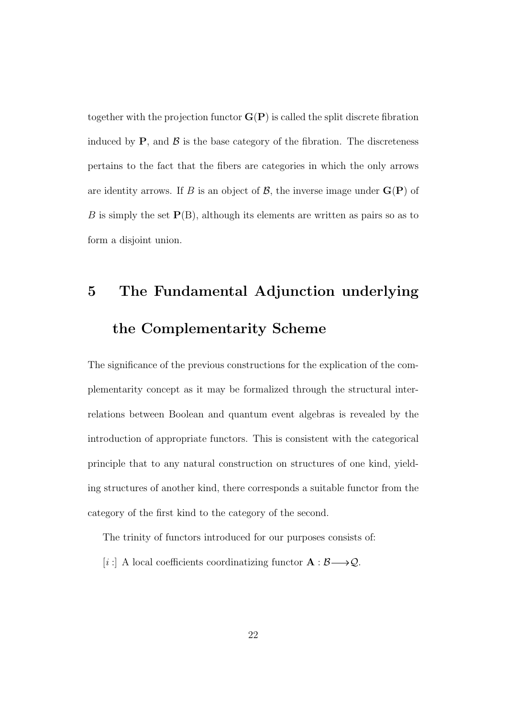together with the projection functor  $\mathbf{G}(\mathbf{P})$  is called the split discrete fibration induced by  $P$ , and  $\beta$  is the base category of the fibration. The discreteness pertains to the fact that the fibers are categories in which the only arrows are identity arrows. If B is an object of  $\mathcal{B}$ , the inverse image under  $\mathbf{G}(\mathbf{P})$  of B is simply the set  $P(B)$ , although its elements are written as pairs so as to form a disjoint union.

# 5 The Fundamental Adjunction underlying the Complementarity Scheme

The significance of the previous constructions for the explication of the complementarity concept as it may be formalized through the structural interrelations between Boolean and quantum event algebras is revealed by the introduction of appropriate functors. This is consistent with the categorical principle that to any natural construction on structures of one kind, yielding structures of another kind, there corresponds a suitable functor from the category of the first kind to the category of the second.

The trinity of functors introduced for our purposes consists of:

[i :] A local coefficients coordinatizing functor  $\mathbf{A} : \mathcal{B} \longrightarrow \mathcal{Q}$ .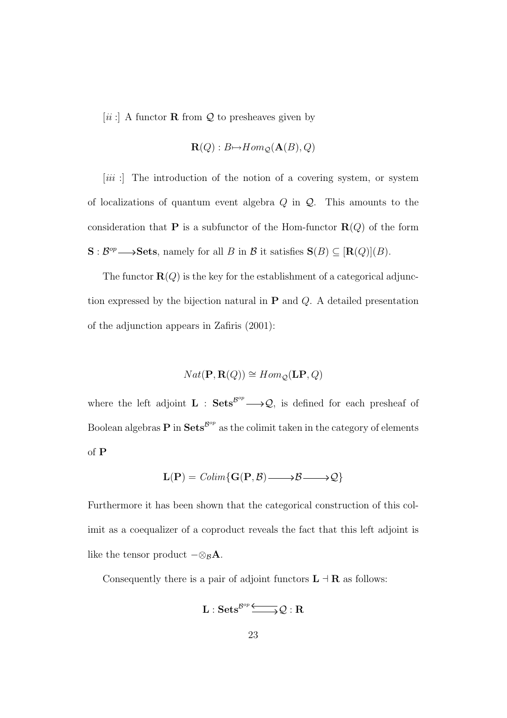[ii :] A functor **R** from  $\mathcal{Q}$  to presheaves given by

$$
\mathbf{R}(Q): B \mapsto Hom_{\mathcal{Q}}(\mathbf{A}(B), Q)
$$

[iii :] The introduction of the notion of a covering system, or system of localizations of quantum event algebra  $Q$  in  $Q$ . This amounts to the consideration that **P** is a subfunctor of the Hom-functor  $\mathbf{R}(Q)$  of the form  $\mathbf{S}: \mathcal{B}^{op}\longrightarrow$  Sets, namely for all B in B it satisfies  $\mathbf{S}(B)\subseteq [\mathbf{R}(Q)](B)$ .

The functor  $\mathbf{R}(Q)$  is the key for the establishment of a categorical adjunction expressed by the bijection natural in  $P$  and  $Q$ . A detailed presentation of the adjunction appears in Zafiris (2001):

$$
Nat(\mathbf{P}, \mathbf{R}(Q)) \cong Hom_{\mathcal{Q}}(\mathbf{LP}, Q)
$$

where the left adjoint  $\mathbf{L}$  :  $\mathbf{Sets}^{\mathcal{B}^{op}} \longrightarrow \mathcal{Q}$ , is defined for each presheaf of Boolean algebras **P** in  $\textbf{Sets}^{\mathcal{B}^{op}}$  as the colimit taken in the category of elements of P

$$
\mathbf{L}(\mathbf{P}) = \mathit{Colim}\{\mathbf{G}(\mathbf{P}, \mathcal{B}) \longrightarrow \mathcal{B} \longrightarrow \mathcal{Q}\}
$$

Furthermore it has been shown that the categorical construction of this colimit as a coequalizer of a coproduct reveals the fact that this left adjoint is like the tensor product  $-\otimes_{\mathcal{B}} \mathbf{A}$ .

Consequently there is a pair of adjoint functors  $L \dashv R$  as follows:

$$
\mathbf{L}: \mathbf{Sets}^{\mathcal{B}^{op}} {\:\longrightarrow\:} \mathcal{Q}: \mathbf{R}
$$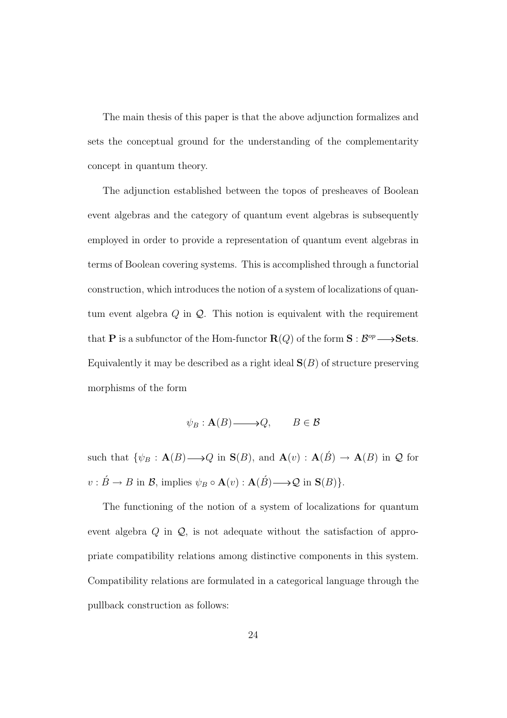The main thesis of this paper is that the above adjunction formalizes and sets the conceptual ground for the understanding of the complementarity concept in quantum theory.

The adjunction established between the topos of presheaves of Boolean event algebras and the category of quantum event algebras is subsequently employed in order to provide a representation of quantum event algebras in terms of Boolean covering systems. This is accomplished through a functorial construction, which introduces the notion of a system of localizations of quantum event algebra  $Q$  in  $Q$ . This notion is equivalent with the requirement that **P** is a subfunctor of the Hom-functor  $\mathbf{R}(Q)$  of the form  $\mathbf{S}: \mathcal{B}^{op} \longrightarrow$  **Sets.** Equivalently it may be described as a right ideal  $S(B)$  of structure preserving morphisms of the form

$$
\psi_B: \mathbf{A}(B) \longrightarrow Q, \qquad B \in \mathcal{B}
$$

such that  $\{\psi_B : \mathbf{A}(B) \longrightarrow Q \text{ in } \mathbf{S}(B), \text{ and } \mathbf{A}(v) : \mathbf{A}(\check{B}) \longrightarrow \mathbf{A}(B) \text{ in } \mathcal{Q} \text{ for }$  $v : \acute{B} \to B$  in  $\mathcal{B}$ , implies  $\psi_B \circ \mathbf{A}(v) : \mathbf{A}(\acute{B}) \longrightarrow \mathcal{Q}$  in  $\mathbf{S}(B)$ .

The functioning of the notion of a system of localizations for quantum event algebra  $Q$  in  $Q$ , is not adequate without the satisfaction of appropriate compatibility relations among distinctive components in this system. Compatibility relations are formulated in a categorical language through the pullback construction as follows: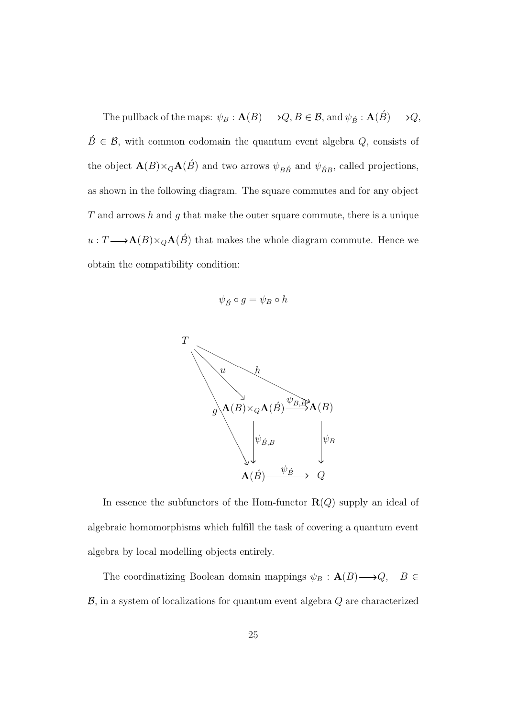The pullback of the maps:  $\psi_B: \mathbf{A}(B) \longrightarrow Q, B \in \mathcal{B}$ , and  $\psi_{\vec{B}}: \mathbf{A}(\vec{B}) \longrightarrow Q$ ,  $\acute{B} \in \mathcal{B}$ , with common codomain the quantum event algebra  $Q$ , consists of the object  $\mathbf{A}(B)\times_Q\mathbf{A}(\acute{B})$  and two arrows  $\psi_{B\acute{B}}$  and  $\psi_{\acute{B}B}$ , called projections, as shown in the following diagram. The square commutes and for any object  $T$  and arrows  $h$  and  $g$  that make the outer square commute, there is a unique  $u: T {\longrightarrow} {\bf A}(B)\times_Q {\bf A}(\acute{B})$  that makes the whole diagram commute. Hence we obtain the compatibility condition:

$$
\psi_{\acute{B}}\circ g=\psi_B\circ h
$$



In essence the subfunctors of the Hom-functor  $\mathbf{R}(Q)$  supply an ideal of algebraic homomorphisms which fulfill the task of covering a quantum event algebra by local modelling objects entirely.

The coordinatizing Boolean domain mappings  $\psi_B : \mathbf{A}(B) \longrightarrow Q$ ,  $B \in$  $\mathcal{B}$ , in a system of localizations for quantum event algebra  $Q$  are characterized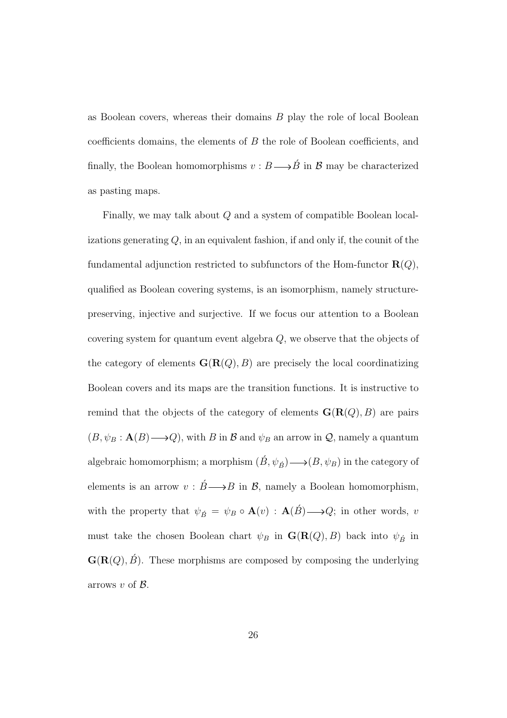as Boolean covers, whereas their domains B play the role of local Boolean coefficients domains, the elements of B the role of Boolean coefficients, and finally, the Boolean homomorphisms  $v : B \longrightarrow \check{B}$  in B may be characterized as pasting maps.

Finally, we may talk about Q and a system of compatible Boolean localizations generating  $Q$ , in an equivalent fashion, if and only if, the counit of the fundamental adjunction restricted to subfunctors of the Hom-functor  $R(Q)$ , qualified as Boolean covering systems, is an isomorphism, namely structurepreserving, injective and surjective. If we focus our attention to a Boolean covering system for quantum event algebra Q, we observe that the objects of the category of elements  $\mathbf{G}(\mathbf{R}(Q), B)$  are precisely the local coordinatizing Boolean covers and its maps are the transition functions. It is instructive to remind that the objects of the category of elements  $\mathbf{G}(\mathbf{R}(Q), B)$  are pairs  $(B, \psi_B : \mathbf{A}(B) \longrightarrow Q)$ , with B in B and  $\psi_B$  an arrow in Q, namely a quantum algebraic homomorphism; a morphism  $(\acute{B}, \psi_{\acute{B}}) \longrightarrow (B, \psi_B)$  in the category of elements is an arrow  $v : \acute{B} \longrightarrow B$  in  $\mathcal{B}$ , namely a Boolean homomorphism, with the property that  $\psi_{\vec{B}} = \psi_B \circ \mathbf{A}(v) : \mathbf{A}(\vec{B}) \longrightarrow Q$ ; in other words, v must take the chosen Boolean chart  $\psi_B$  in  $\mathbf{G}(\mathbf{R}(Q), B)$  back into  $\psi_{\vec{B}}$  in  $\mathbf{G}(\mathbf{R}(Q), \hat{B})$ . These morphisms are composed by composing the underlying arrows  $v$  of  $\beta$ .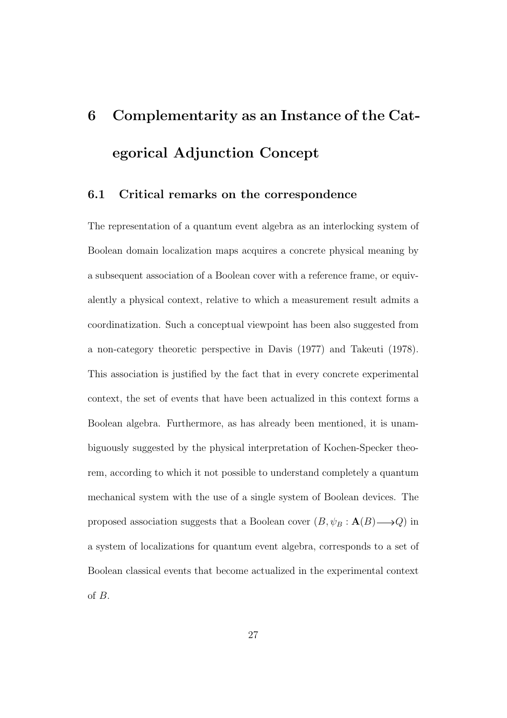# 6 Complementarity as an Instance of the Categorical Adjunction Concept

#### 6.1 Critical remarks on the correspondence

The representation of a quantum event algebra as an interlocking system of Boolean domain localization maps acquires a concrete physical meaning by a subsequent association of a Boolean cover with a reference frame, or equivalently a physical context, relative to which a measurement result admits a coordinatization. Such a conceptual viewpoint has been also suggested from a non-category theoretic perspective in Davis (1977) and Takeuti (1978). This association is justified by the fact that in every concrete experimental context, the set of events that have been actualized in this context forms a Boolean algebra. Furthermore, as has already been mentioned, it is unambiguously suggested by the physical interpretation of Kochen-Specker theorem, according to which it not possible to understand completely a quantum mechanical system with the use of a single system of Boolean devices. The proposed association suggests that a Boolean cover  $(B, \psi_B : \mathbf{A}(B) \longrightarrow Q)$  in a system of localizations for quantum event algebra, corresponds to a set of Boolean classical events that become actualized in the experimental context of B.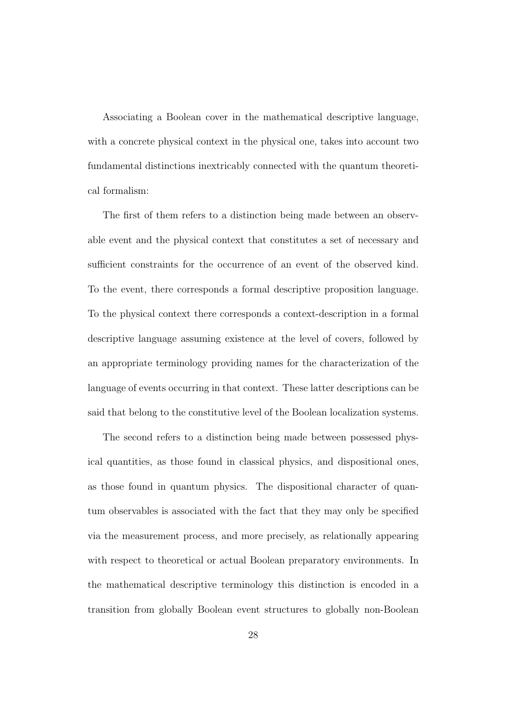Associating a Boolean cover in the mathematical descriptive language, with a concrete physical context in the physical one, takes into account two fundamental distinctions inextricably connected with the quantum theoretical formalism:

The first of them refers to a distinction being made between an observable event and the physical context that constitutes a set of necessary and sufficient constraints for the occurrence of an event of the observed kind. To the event, there corresponds a formal descriptive proposition language. To the physical context there corresponds a context-description in a formal descriptive language assuming existence at the level of covers, followed by an appropriate terminology providing names for the characterization of the language of events occurring in that context. These latter descriptions can be said that belong to the constitutive level of the Boolean localization systems.

The second refers to a distinction being made between possessed physical quantities, as those found in classical physics, and dispositional ones, as those found in quantum physics. The dispositional character of quantum observables is associated with the fact that they may only be specified via the measurement process, and more precisely, as relationally appearing with respect to theoretical or actual Boolean preparatory environments. In the mathematical descriptive terminology this distinction is encoded in a transition from globally Boolean event structures to globally non-Boolean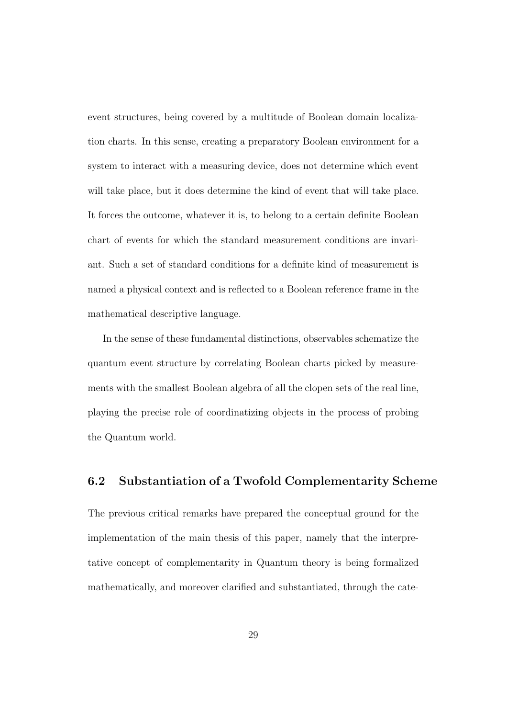event structures, being covered by a multitude of Boolean domain localization charts. In this sense, creating a preparatory Boolean environment for a system to interact with a measuring device, does not determine which event will take place, but it does determine the kind of event that will take place. It forces the outcome, whatever it is, to belong to a certain definite Boolean chart of events for which the standard measurement conditions are invariant. Such a set of standard conditions for a definite kind of measurement is named a physical context and is reflected to a Boolean reference frame in the mathematical descriptive language.

In the sense of these fundamental distinctions, observables schematize the quantum event structure by correlating Boolean charts picked by measurements with the smallest Boolean algebra of all the clopen sets of the real line, playing the precise role of coordinatizing objects in the process of probing the Quantum world.

#### 6.2 Substantiation of a Twofold Complementarity Scheme

The previous critical remarks have prepared the conceptual ground for the implementation of the main thesis of this paper, namely that the interpretative concept of complementarity in Quantum theory is being formalized mathematically, and moreover clarified and substantiated, through the cate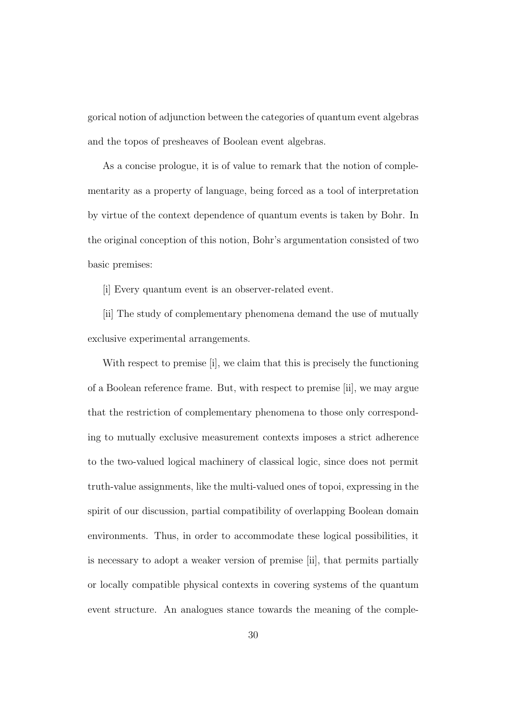gorical notion of adjunction between the categories of quantum event algebras and the topos of presheaves of Boolean event algebras.

As a concise prologue, it is of value to remark that the notion of complementarity as a property of language, being forced as a tool of interpretation by virtue of the context dependence of quantum events is taken by Bohr. In the original conception of this notion, Bohr's argumentation consisted of two basic premises:

[i] Every quantum event is an observer-related event.

[ii] The study of complementary phenomena demand the use of mutually exclusive experimental arrangements.

With respect to premise [i], we claim that this is precisely the functioning of a Boolean reference frame. But, with respect to premise [ii], we may argue that the restriction of complementary phenomena to those only corresponding to mutually exclusive measurement contexts imposes a strict adherence to the two-valued logical machinery of classical logic, since does not permit truth-value assignments, like the multi-valued ones of topoi, expressing in the spirit of our discussion, partial compatibility of overlapping Boolean domain environments. Thus, in order to accommodate these logical possibilities, it is necessary to adopt a weaker version of premise [ii], that permits partially or locally compatible physical contexts in covering systems of the quantum event structure. An analogues stance towards the meaning of the comple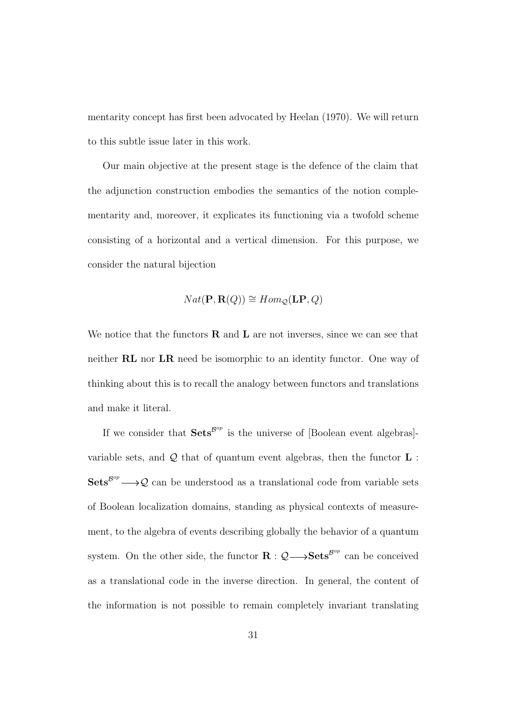mentarity concept has first been advocated by Heelan (1970). We will return to this subtle issue later in this work.

Our main objective at the present stage is the defence of the claim that the adjunction construction embodies the semantics of the notion complementarity and, moreover, it explicates its functioning via a twofold scheme consisting of a horizontal and a vertical dimension. For this purpose, we consider the natural bijection

$$
Nat(\mathbf{P}, \mathbf{R}(Q)) \cong Hom_{\mathcal{Q}}(\mathbf{LP}, Q)
$$

We notice that the functors  **and**  $**L**$  **are not inverses, since we can see that** neither RL nor LR need be isomorphic to an identity functor. One way of thinking about this is to recall the analogy between functors and translations and make it literal.

If we consider that  $\textbf{Sets}^{\mathcal{B}^{op}}$  is the universe of [Boolean event algebras]variable sets, and  $\mathcal Q$  that of quantum event algebras, then the functor  $\mathbf L$ :  $\text{Sets}^{\mathcal{B}^{op}} \longrightarrow \mathcal{Q}$  can be understood as a translational code from variable sets of Boolean localization domains, standing as physical contexts of measurement, to the algebra of events describing globally the behavior of a quantum system. On the other side, the functor  $\mathbf{R} : \mathcal{Q} \longrightarrow \mathbf{Sets}^{\mathcal{B}^{op}}$  can be conceived as a translational code in the inverse direction. In general, the content of the information is not possible to remain completely invariant translating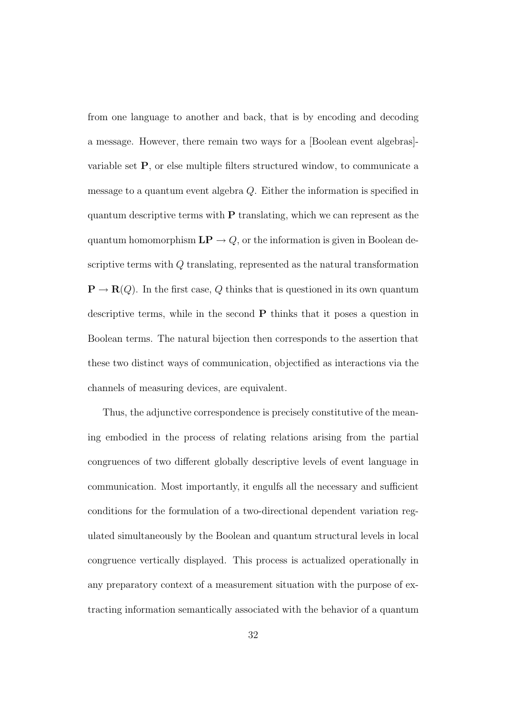from one language to another and back, that is by encoding and decoding a message. However, there remain two ways for a [Boolean event algebras] variable set P, or else multiple filters structured window, to communicate a message to a quantum event algebra Q. Either the information is specified in quantum descriptive terms with P translating, which we can represent as the quantum homomorphism  $\mathbf{LP} \to Q$ , or the information is given in Boolean descriptive terms with Q translating, represented as the natural transformation  $\mathbf{P} \to \mathbf{R}(Q)$ . In the first case, Q thinks that is questioned in its own quantum descriptive terms, while in the second  $P$  thinks that it poses a question in Boolean terms. The natural bijection then corresponds to the assertion that these two distinct ways of communication, objectified as interactions via the channels of measuring devices, are equivalent.

Thus, the adjunctive correspondence is precisely constitutive of the meaning embodied in the process of relating relations arising from the partial congruences of two different globally descriptive levels of event language in communication. Most importantly, it engulfs all the necessary and sufficient conditions for the formulation of a two-directional dependent variation regulated simultaneously by the Boolean and quantum structural levels in local congruence vertically displayed. This process is actualized operationally in any preparatory context of a measurement situation with the purpose of extracting information semantically associated with the behavior of a quantum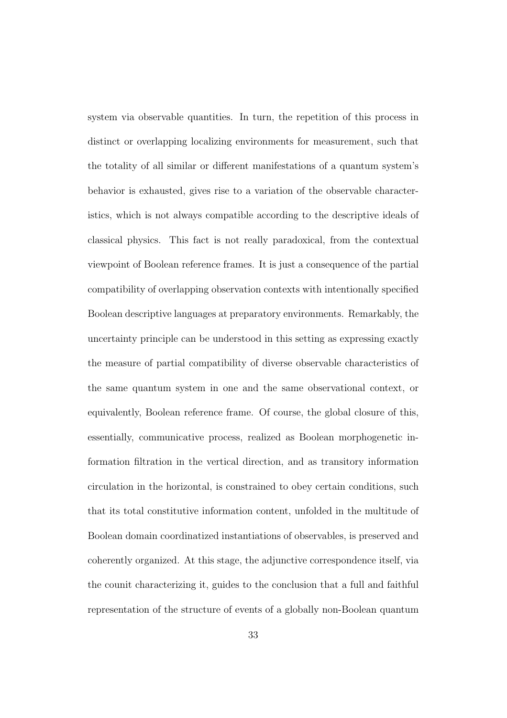system via observable quantities. In turn, the repetition of this process in distinct or overlapping localizing environments for measurement, such that the totality of all similar or different manifestations of a quantum system's behavior is exhausted, gives rise to a variation of the observable characteristics, which is not always compatible according to the descriptive ideals of classical physics. This fact is not really paradoxical, from the contextual viewpoint of Boolean reference frames. It is just a consequence of the partial compatibility of overlapping observation contexts with intentionally specified Boolean descriptive languages at preparatory environments. Remarkably, the uncertainty principle can be understood in this setting as expressing exactly the measure of partial compatibility of diverse observable characteristics of the same quantum system in one and the same observational context, or equivalently, Boolean reference frame. Of course, the global closure of this, essentially, communicative process, realized as Boolean morphogenetic information filtration in the vertical direction, and as transitory information circulation in the horizontal, is constrained to obey certain conditions, such that its total constitutive information content, unfolded in the multitude of Boolean domain coordinatized instantiations of observables, is preserved and coherently organized. At this stage, the adjunctive correspondence itself, via the counit characterizing it, guides to the conclusion that a full and faithful representation of the structure of events of a globally non-Boolean quantum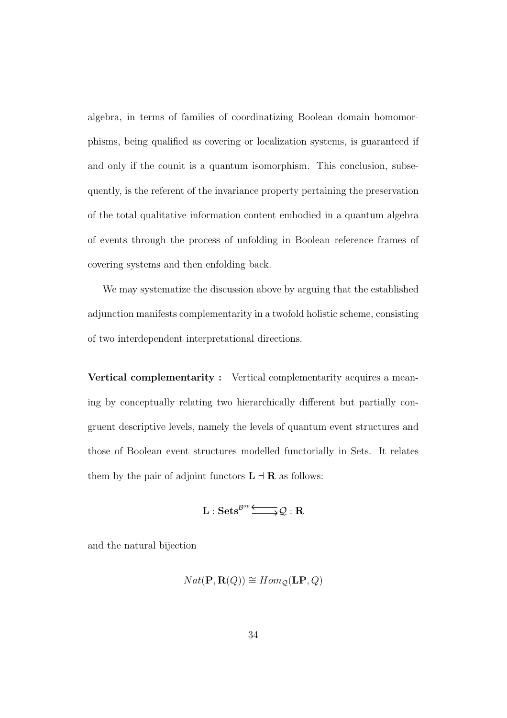algebra, in terms of families of coordinatizing Boolean domain homomorphisms, being qualified as covering or localization systems, is guaranteed if and only if the counit is a quantum isomorphism. This conclusion, subsequently, is the referent of the invariance property pertaining the preservation of the total qualitative information content embodied in a quantum algebra of events through the process of unfolding in Boolean reference frames of covering systems and then enfolding back.

We may systematize the discussion above by arguing that the established adjunction manifests complementarity in a twofold holistic scheme, consisting of two interdependent interpretational directions.

Vertical complementarity : Vertical complementarity acquires a meaning by conceptually relating two hierarchically different but partially congruent descriptive levels, namely the levels of quantum event structures and those of Boolean event structures modelled functorially in Sets. It relates them by the pair of adjoint functors  $\mathbf{L} \dashv \mathbf{R}$  as follows:

$$
L:Sets^{\mathcal{B}^{op}}\xrightarrow{\longleftarrow} \mathcal{Q}:R
$$

and the natural bijection

$$
Nat(\mathbf{P}, \mathbf{R}(Q)) \cong Hom_{\mathcal{Q}}(\mathbf{LP}, Q)
$$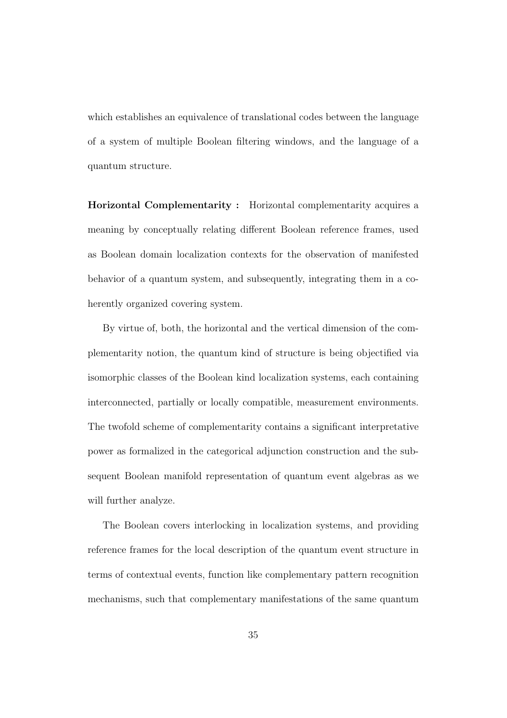which establishes an equivalence of translational codes between the language of a system of multiple Boolean filtering windows, and the language of a quantum structure.

Horizontal Complementarity : Horizontal complementarity acquires a meaning by conceptually relating different Boolean reference frames, used as Boolean domain localization contexts for the observation of manifested behavior of a quantum system, and subsequently, integrating them in a coherently organized covering system.

By virtue of, both, the horizontal and the vertical dimension of the complementarity notion, the quantum kind of structure is being objectified via isomorphic classes of the Boolean kind localization systems, each containing interconnected, partially or locally compatible, measurement environments. The twofold scheme of complementarity contains a significant interpretative power as formalized in the categorical adjunction construction and the subsequent Boolean manifold representation of quantum event algebras as we will further analyze.

The Boolean covers interlocking in localization systems, and providing reference frames for the local description of the quantum event structure in terms of contextual events, function like complementary pattern recognition mechanisms, such that complementary manifestations of the same quantum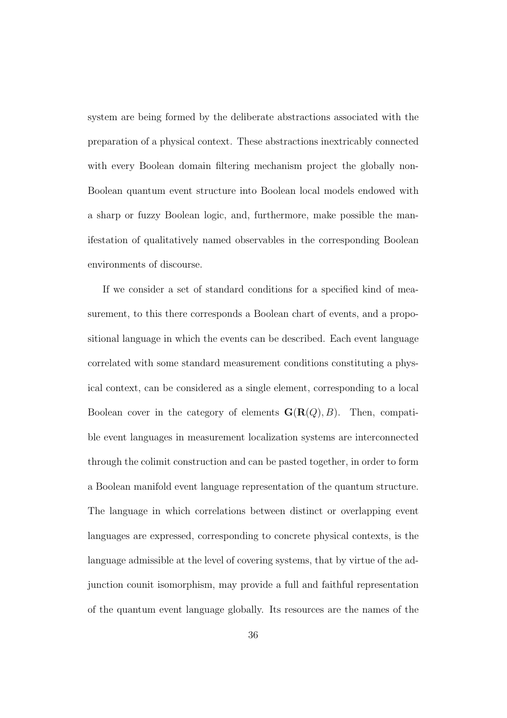system are being formed by the deliberate abstractions associated with the preparation of a physical context. These abstractions inextricably connected with every Boolean domain filtering mechanism project the globally non-Boolean quantum event structure into Boolean local models endowed with a sharp or fuzzy Boolean logic, and, furthermore, make possible the manifestation of qualitatively named observables in the corresponding Boolean environments of discourse.

If we consider a set of standard conditions for a specified kind of measurement, to this there corresponds a Boolean chart of events, and a propositional language in which the events can be described. Each event language correlated with some standard measurement conditions constituting a physical context, can be considered as a single element, corresponding to a local Boolean cover in the category of elements  $\mathbf{G}(\mathbf{R}(Q), B)$ . Then, compatible event languages in measurement localization systems are interconnected through the colimit construction and can be pasted together, in order to form a Boolean manifold event language representation of the quantum structure. The language in which correlations between distinct or overlapping event languages are expressed, corresponding to concrete physical contexts, is the language admissible at the level of covering systems, that by virtue of the adjunction counit isomorphism, may provide a full and faithful representation of the quantum event language globally. Its resources are the names of the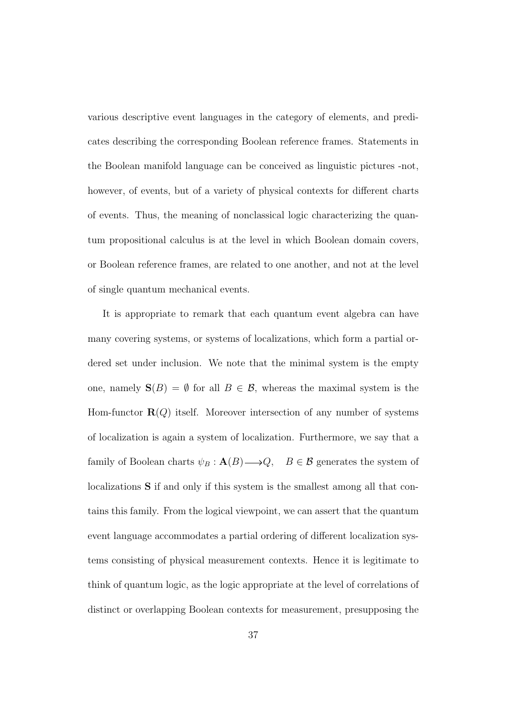various descriptive event languages in the category of elements, and predicates describing the corresponding Boolean reference frames. Statements in the Boolean manifold language can be conceived as linguistic pictures -not, however, of events, but of a variety of physical contexts for different charts of events. Thus, the meaning of nonclassical logic characterizing the quantum propositional calculus is at the level in which Boolean domain covers, or Boolean reference frames, are related to one another, and not at the level of single quantum mechanical events.

It is appropriate to remark that each quantum event algebra can have many covering systems, or systems of localizations, which form a partial ordered set under inclusion. We note that the minimal system is the empty one, namely  $S(B) = \emptyset$  for all  $B \in \mathcal{B}$ , whereas the maximal system is the Hom-functor  $\mathbf{R}(Q)$  itself. Moreover intersection of any number of systems of localization is again a system of localization. Furthermore, we say that a family of Boolean charts  $\psi_B : \mathbf{A}(B) \longrightarrow Q$ ,  $B \in \mathcal{B}$  generates the system of localizations S if and only if this system is the smallest among all that contains this family. From the logical viewpoint, we can assert that the quantum event language accommodates a partial ordering of different localization systems consisting of physical measurement contexts. Hence it is legitimate to think of quantum logic, as the logic appropriate at the level of correlations of distinct or overlapping Boolean contexts for measurement, presupposing the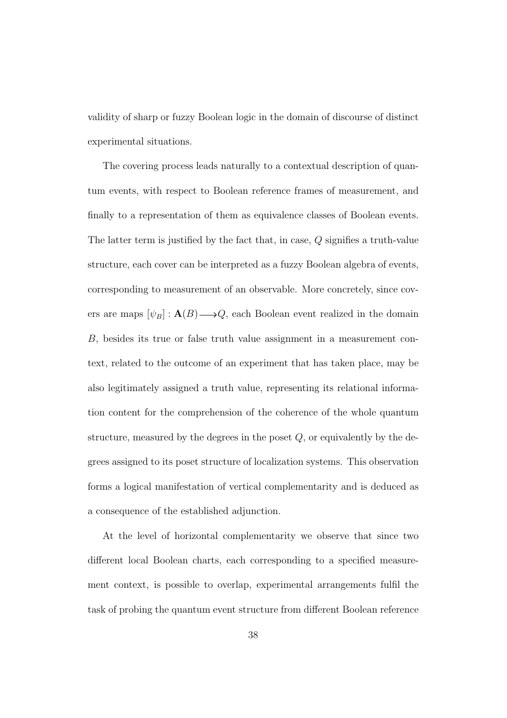validity of sharp or fuzzy Boolean logic in the domain of discourse of distinct experimental situations.

The covering process leads naturally to a contextual description of quantum events, with respect to Boolean reference frames of measurement, and finally to a representation of them as equivalence classes of Boolean events. The latter term is justified by the fact that, in case, Q signifies a truth-value structure, each cover can be interpreted as a fuzzy Boolean algebra of events, corresponding to measurement of an observable. More concretely, since covers are maps  $[\psi_B] : \mathbf{A}(B) \longrightarrow Q$ , each Boolean event realized in the domain B, besides its true or false truth value assignment in a measurement context, related to the outcome of an experiment that has taken place, may be also legitimately assigned a truth value, representing its relational information content for the comprehension of the coherence of the whole quantum structure, measured by the degrees in the poset  $Q$ , or equivalently by the degrees assigned to its poset structure of localization systems. This observation forms a logical manifestation of vertical complementarity and is deduced as a consequence of the established adjunction.

At the level of horizontal complementarity we observe that since two different local Boolean charts, each corresponding to a specified measurement context, is possible to overlap, experimental arrangements fulfil the task of probing the quantum event structure from different Boolean reference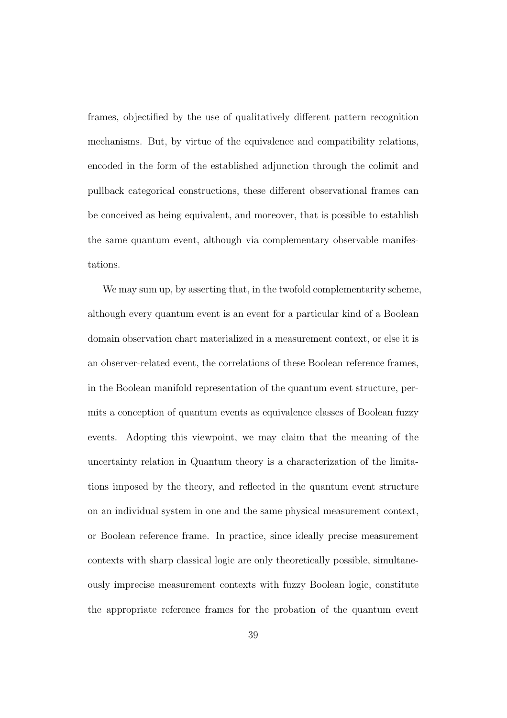frames, objectified by the use of qualitatively different pattern recognition mechanisms. But, by virtue of the equivalence and compatibility relations, encoded in the form of the established adjunction through the colimit and pullback categorical constructions, these different observational frames can be conceived as being equivalent, and moreover, that is possible to establish the same quantum event, although via complementary observable manifestations.

We may sum up, by asserting that, in the twofold complementarity scheme, although every quantum event is an event for a particular kind of a Boolean domain observation chart materialized in a measurement context, or else it is an observer-related event, the correlations of these Boolean reference frames, in the Boolean manifold representation of the quantum event structure, permits a conception of quantum events as equivalence classes of Boolean fuzzy events. Adopting this viewpoint, we may claim that the meaning of the uncertainty relation in Quantum theory is a characterization of the limitations imposed by the theory, and reflected in the quantum event structure on an individual system in one and the same physical measurement context, or Boolean reference frame. In practice, since ideally precise measurement contexts with sharp classical logic are only theoretically possible, simultaneously imprecise measurement contexts with fuzzy Boolean logic, constitute the appropriate reference frames for the probation of the quantum event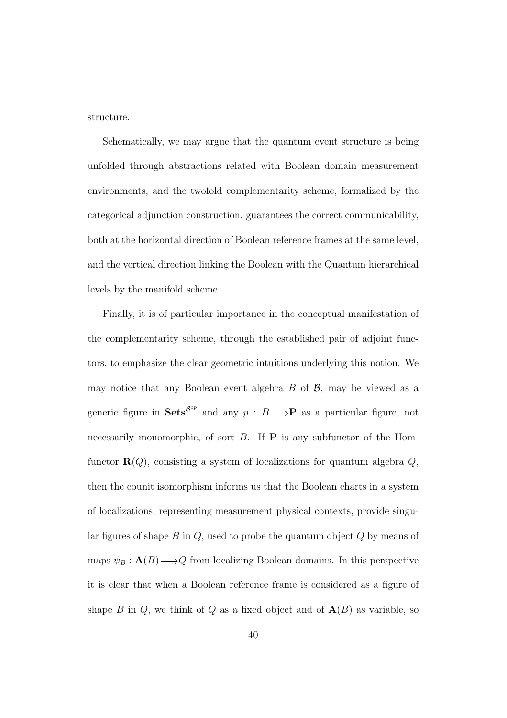structure.

Schematically, we may argue that the quantum event structure is being unfolded through abstractions related with Boolean domain measurement environments, and the twofold complementarity scheme, formalized by the categorical adjunction construction, guarantees the correct communicability, both at the horizontal direction of Boolean reference frames at the same level, and the vertical direction linking the Boolean with the Quantum hierarchical levels by the manifold scheme.

Finally, it is of particular importance in the conceptual manifestation of the complementarity scheme, through the established pair of adjoint functors, to emphasize the clear geometric intuitions underlying this notion. We may notice that any Boolean event algebra  $B$  of  $\beta$ , may be viewed as a generic figure in  $\textbf{Sets}^{\text{Bop}}$  and any  $p : B \longrightarrow \mathbf{P}$  as a particular figure, not necessarily monomorphic, of sort  $B$ . If  $P$  is any subfunctor of the Homfunctor  $\mathbf{R}(Q)$ , consisting a system of localizations for quantum algebra  $Q$ , then the counit isomorphism informs us that the Boolean charts in a system of localizations, representing measurement physical contexts, provide singular figures of shape  $B$  in  $Q$ , used to probe the quantum object  $Q$  by means of maps  $\psi_B : \mathbf{A}(B) \longrightarrow Q$  from localizing Boolean domains. In this perspective it is clear that when a Boolean reference frame is considered as a figure of shape B in Q, we think of Q as a fixed object and of  $A(B)$  as variable, so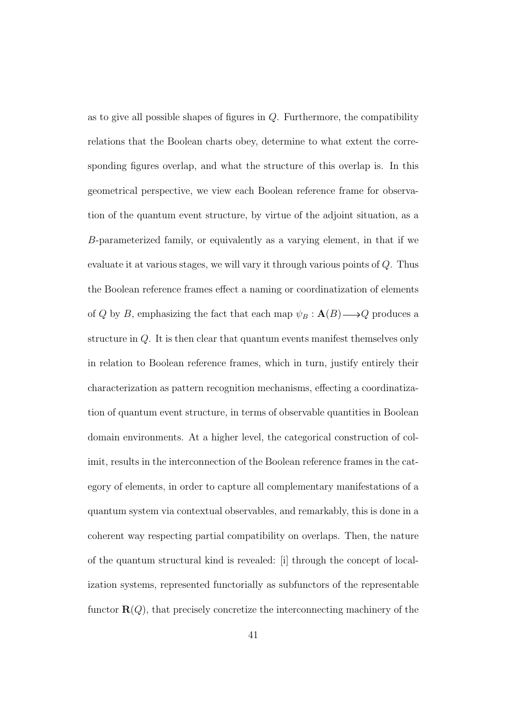as to give all possible shapes of figures in  $Q$ . Furthermore, the compatibility relations that the Boolean charts obey, determine to what extent the corresponding figures overlap, and what the structure of this overlap is. In this geometrical perspective, we view each Boolean reference frame for observation of the quantum event structure, by virtue of the adjoint situation, as a B-parameterized family, or equivalently as a varying element, in that if we evaluate it at various stages, we will vary it through various points of Q. Thus the Boolean reference frames effect a naming or coordinatization of elements of Q by B, emphasizing the fact that each map  $\psi_B : \mathbf{A}(B) \longrightarrow Q$  produces a structure in Q. It is then clear that quantum events manifest themselves only in relation to Boolean reference frames, which in turn, justify entirely their characterization as pattern recognition mechanisms, effecting a coordinatization of quantum event structure, in terms of observable quantities in Boolean domain environments. At a higher level, the categorical construction of colimit, results in the interconnection of the Boolean reference frames in the category of elements, in order to capture all complementary manifestations of a quantum system via contextual observables, and remarkably, this is done in a coherent way respecting partial compatibility on overlaps. Then, the nature of the quantum structural kind is revealed: [i] through the concept of localization systems, represented functorially as subfunctors of the representable functor  $\mathbf{R}(Q)$ , that precisely concretize the interconnecting machinery of the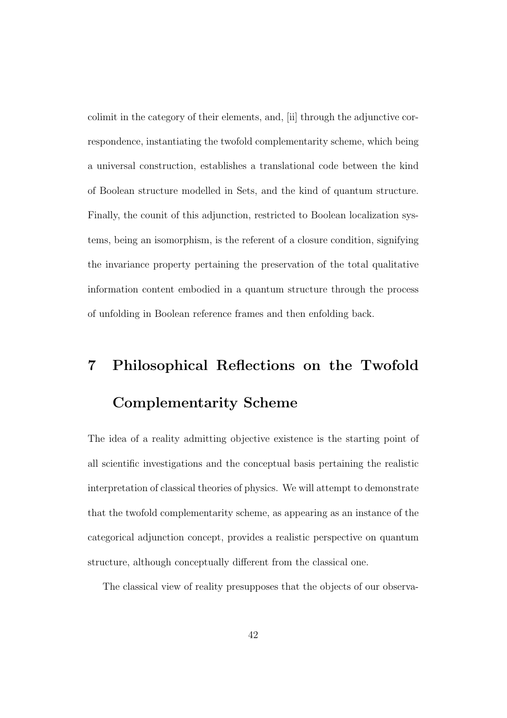colimit in the category of their elements, and, [ii] through the adjunctive correspondence, instantiating the twofold complementarity scheme, which being a universal construction, establishes a translational code between the kind of Boolean structure modelled in Sets, and the kind of quantum structure. Finally, the counit of this adjunction, restricted to Boolean localization systems, being an isomorphism, is the referent of a closure condition, signifying the invariance property pertaining the preservation of the total qualitative information content embodied in a quantum structure through the process of unfolding in Boolean reference frames and then enfolding back.

# 7 Philosophical Reflections on the Twofold Complementarity Scheme

The idea of a reality admitting objective existence is the starting point of all scientific investigations and the conceptual basis pertaining the realistic interpretation of classical theories of physics. We will attempt to demonstrate that the twofold complementarity scheme, as appearing as an instance of the categorical adjunction concept, provides a realistic perspective on quantum structure, although conceptually different from the classical one.

The classical view of reality presupposes that the objects of our observa-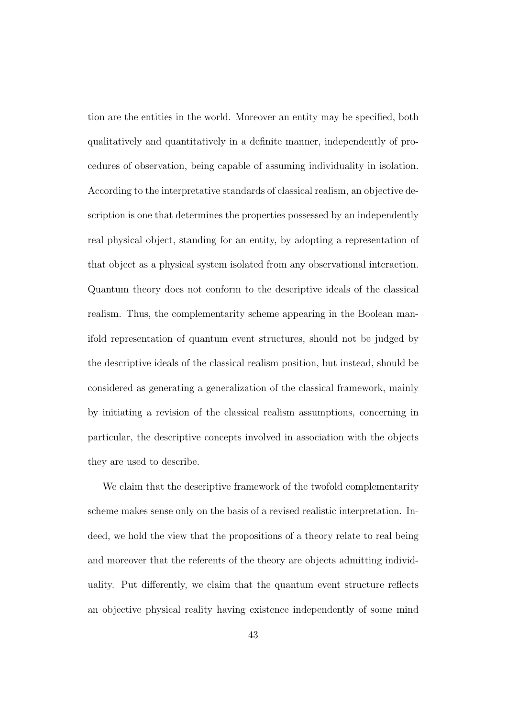tion are the entities in the world. Moreover an entity may be specified, both qualitatively and quantitatively in a definite manner, independently of procedures of observation, being capable of assuming individuality in isolation. According to the interpretative standards of classical realism, an objective description is one that determines the properties possessed by an independently real physical object, standing for an entity, by adopting a representation of that object as a physical system isolated from any observational interaction. Quantum theory does not conform to the descriptive ideals of the classical realism. Thus, the complementarity scheme appearing in the Boolean manifold representation of quantum event structures, should not be judged by the descriptive ideals of the classical realism position, but instead, should be considered as generating a generalization of the classical framework, mainly by initiating a revision of the classical realism assumptions, concerning in particular, the descriptive concepts involved in association with the objects they are used to describe.

We claim that the descriptive framework of the twofold complementarity scheme makes sense only on the basis of a revised realistic interpretation. Indeed, we hold the view that the propositions of a theory relate to real being and moreover that the referents of the theory are objects admitting individuality. Put differently, we claim that the quantum event structure reflects an objective physical reality having existence independently of some mind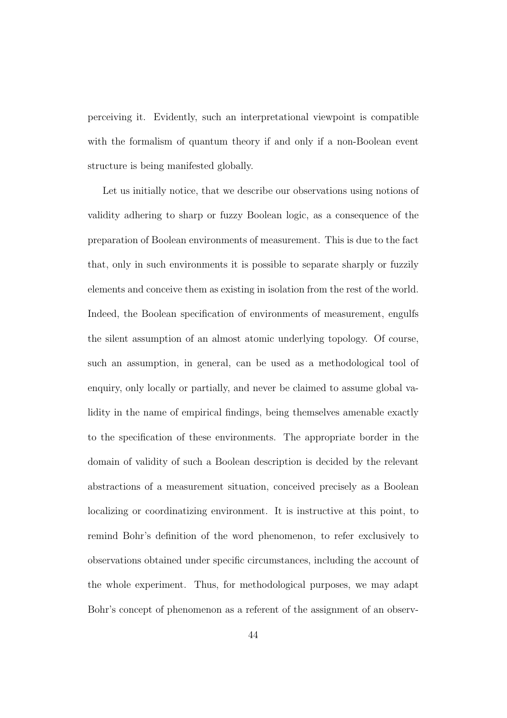perceiving it. Evidently, such an interpretational viewpoint is compatible with the formalism of quantum theory if and only if a non-Boolean event structure is being manifested globally.

Let us initially notice, that we describe our observations using notions of validity adhering to sharp or fuzzy Boolean logic, as a consequence of the preparation of Boolean environments of measurement. This is due to the fact that, only in such environments it is possible to separate sharply or fuzzily elements and conceive them as existing in isolation from the rest of the world. Indeed, the Boolean specification of environments of measurement, engulfs the silent assumption of an almost atomic underlying topology. Of course, such an assumption, in general, can be used as a methodological tool of enquiry, only locally or partially, and never be claimed to assume global validity in the name of empirical findings, being themselves amenable exactly to the specification of these environments. The appropriate border in the domain of validity of such a Boolean description is decided by the relevant abstractions of a measurement situation, conceived precisely as a Boolean localizing or coordinatizing environment. It is instructive at this point, to remind Bohr's definition of the word phenomenon, to refer exclusively to observations obtained under specific circumstances, including the account of the whole experiment. Thus, for methodological purposes, we may adapt Bohr's concept of phenomenon as a referent of the assignment of an observ-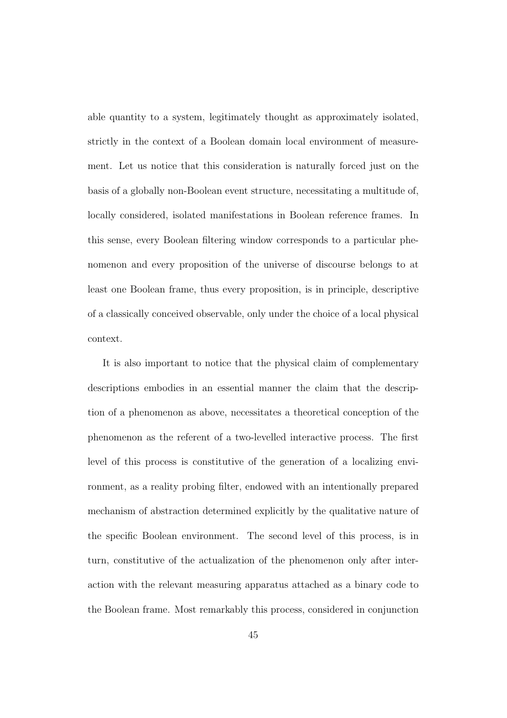able quantity to a system, legitimately thought as approximately isolated, strictly in the context of a Boolean domain local environment of measurement. Let us notice that this consideration is naturally forced just on the basis of a globally non-Boolean event structure, necessitating a multitude of, locally considered, isolated manifestations in Boolean reference frames. In this sense, every Boolean filtering window corresponds to a particular phenomenon and every proposition of the universe of discourse belongs to at least one Boolean frame, thus every proposition, is in principle, descriptive of a classically conceived observable, only under the choice of a local physical context.

It is also important to notice that the physical claim of complementary descriptions embodies in an essential manner the claim that the description of a phenomenon as above, necessitates a theoretical conception of the phenomenon as the referent of a two-levelled interactive process. The first level of this process is constitutive of the generation of a localizing environment, as a reality probing filter, endowed with an intentionally prepared mechanism of abstraction determined explicitly by the qualitative nature of the specific Boolean environment. The second level of this process, is in turn, constitutive of the actualization of the phenomenon only after interaction with the relevant measuring apparatus attached as a binary code to the Boolean frame. Most remarkably this process, considered in conjunction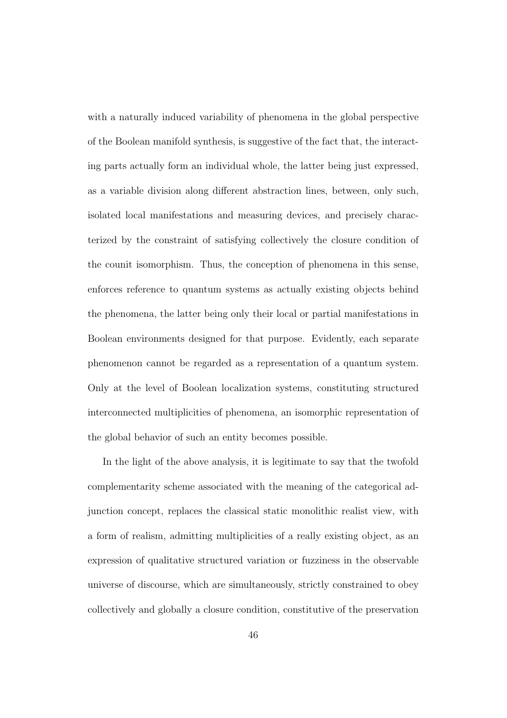with a naturally induced variability of phenomena in the global perspective of the Boolean manifold synthesis, is suggestive of the fact that, the interacting parts actually form an individual whole, the latter being just expressed, as a variable division along different abstraction lines, between, only such, isolated local manifestations and measuring devices, and precisely characterized by the constraint of satisfying collectively the closure condition of the counit isomorphism. Thus, the conception of phenomena in this sense, enforces reference to quantum systems as actually existing objects behind the phenomena, the latter being only their local or partial manifestations in Boolean environments designed for that purpose. Evidently, each separate phenomenon cannot be regarded as a representation of a quantum system. Only at the level of Boolean localization systems, constituting structured interconnected multiplicities of phenomena, an isomorphic representation of the global behavior of such an entity becomes possible.

In the light of the above analysis, it is legitimate to say that the twofold complementarity scheme associated with the meaning of the categorical adjunction concept, replaces the classical static monolithic realist view, with a form of realism, admitting multiplicities of a really existing object, as an expression of qualitative structured variation or fuzziness in the observable universe of discourse, which are simultaneously, strictly constrained to obey collectively and globally a closure condition, constitutive of the preservation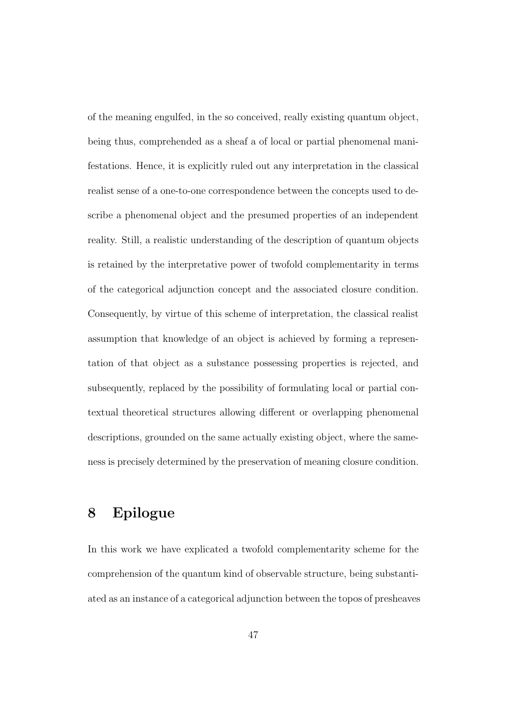of the meaning engulfed, in the so conceived, really existing quantum object, being thus, comprehended as a sheaf a of local or partial phenomenal manifestations. Hence, it is explicitly ruled out any interpretation in the classical realist sense of a one-to-one correspondence between the concepts used to describe a phenomenal object and the presumed properties of an independent reality. Still, a realistic understanding of the description of quantum objects is retained by the interpretative power of twofold complementarity in terms of the categorical adjunction concept and the associated closure condition. Consequently, by virtue of this scheme of interpretation, the classical realist assumption that knowledge of an object is achieved by forming a representation of that object as a substance possessing properties is rejected, and subsequently, replaced by the possibility of formulating local or partial contextual theoretical structures allowing different or overlapping phenomenal descriptions, grounded on the same actually existing object, where the sameness is precisely determined by the preservation of meaning closure condition.

### 8 Epilogue

In this work we have explicated a twofold complementarity scheme for the comprehension of the quantum kind of observable structure, being substantiated as an instance of a categorical adjunction between the topos of presheaves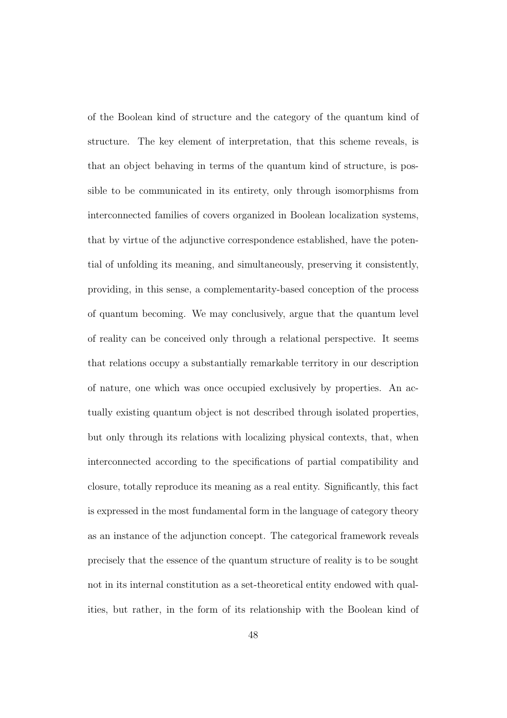of the Boolean kind of structure and the category of the quantum kind of structure. The key element of interpretation, that this scheme reveals, is that an object behaving in terms of the quantum kind of structure, is possible to be communicated in its entirety, only through isomorphisms from interconnected families of covers organized in Boolean localization systems, that by virtue of the adjunctive correspondence established, have the potential of unfolding its meaning, and simultaneously, preserving it consistently, providing, in this sense, a complementarity-based conception of the process of quantum becoming. We may conclusively, argue that the quantum level of reality can be conceived only through a relational perspective. It seems that relations occupy a substantially remarkable territory in our description of nature, one which was once occupied exclusively by properties. An actually existing quantum object is not described through isolated properties, but only through its relations with localizing physical contexts, that, when interconnected according to the specifications of partial compatibility and closure, totally reproduce its meaning as a real entity. Significantly, this fact is expressed in the most fundamental form in the language of category theory as an instance of the adjunction concept. The categorical framework reveals precisely that the essence of the quantum structure of reality is to be sought not in its internal constitution as a set-theoretical entity endowed with qualities, but rather, in the form of its relationship with the Boolean kind of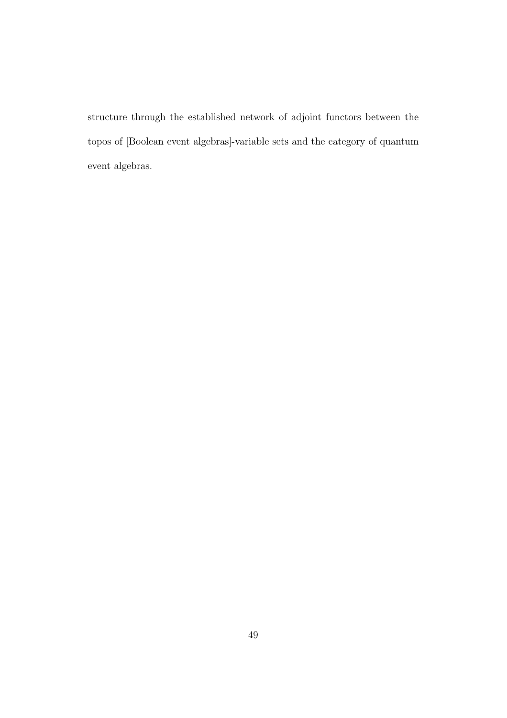structure through the established network of adjoint functors between the topos of [Boolean event algebras]-variable sets and the category of quantum event algebras.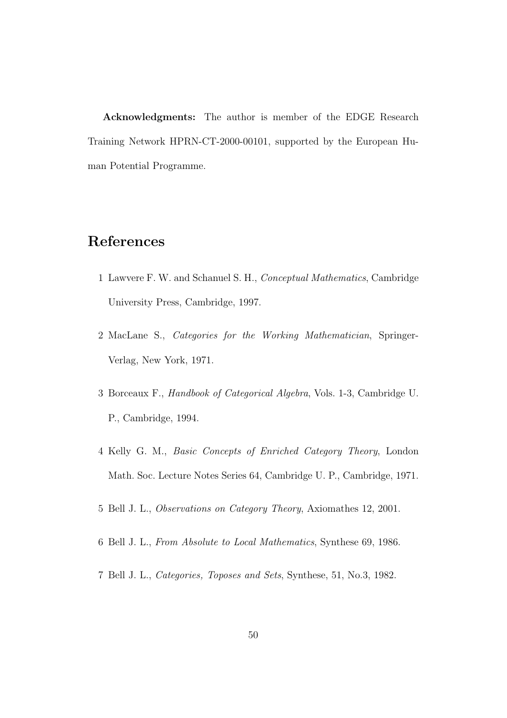Acknowledgments: The author is member of the EDGE Research Training Network HPRN-CT-2000-00101, supported by the European Human Potential Programme.

### References

- 1 Lawvere F. W. and Schanuel S. H., Conceptual Mathematics, Cambridge University Press, Cambridge, 1997.
- 2 MacLane S., Categories for the Working Mathematician, Springer-Verlag, New York, 1971.
- 3 Borceaux F., Handbook of Categorical Algebra, Vols. 1-3, Cambridge U. P., Cambridge, 1994.
- 4 Kelly G. M., Basic Concepts of Enriched Category Theory, London Math. Soc. Lecture Notes Series 64, Cambridge U. P., Cambridge, 1971.
- 5 Bell J. L., Observations on Category Theory, Axiomathes 12, 2001.
- 6 Bell J. L., From Absolute to Local Mathematics, Synthese 69, 1986.
- 7 Bell J. L., Categories, Toposes and Sets, Synthese, 51, No.3, 1982.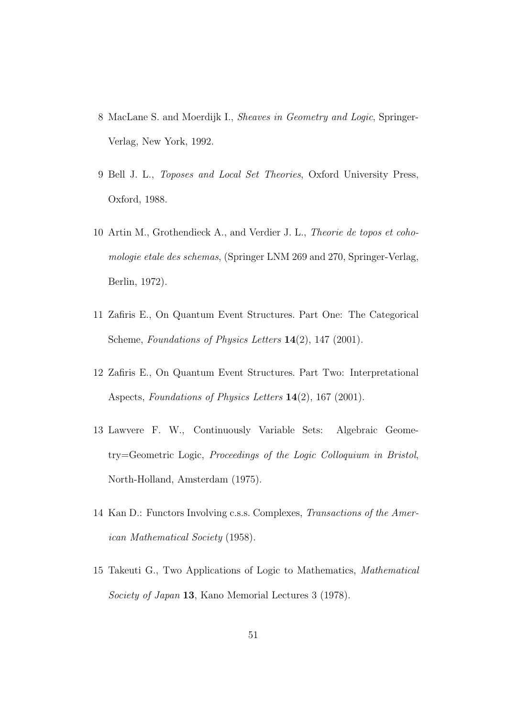- 8 MacLane S. and Moerdijk I., Sheaves in Geometry and Logic, Springer-Verlag, New York, 1992.
- 9 Bell J. L., Toposes and Local Set Theories, Oxford University Press, Oxford, 1988.
- 10 Artin M., Grothendieck A., and Verdier J. L., Theorie de topos et cohomologie etale des schemas, (Springer LNM 269 and 270, Springer-Verlag, Berlin, 1972).
- 11 Zafiris E., On Quantum Event Structures. Part One: The Categorical Scheme, Foundations of Physics Letters 14(2), 147 (2001).
- 12 Zafiris E., On Quantum Event Structures. Part Two: Interpretational Aspects, Foundations of Physics Letters 14(2), 167 (2001).
- 13 Lawvere F. W., Continuously Variable Sets: Algebraic Geometry=Geometric Logic, Proceedings of the Logic Colloquium in Bristol, North-Holland, Amsterdam (1975).
- 14 Kan D.: Functors Involving c.s.s. Complexes, Transactions of the American Mathematical Society (1958).
- 15 Takeuti G., Two Applications of Logic to Mathematics, Mathematical Society of Japan 13, Kano Memorial Lectures 3 (1978).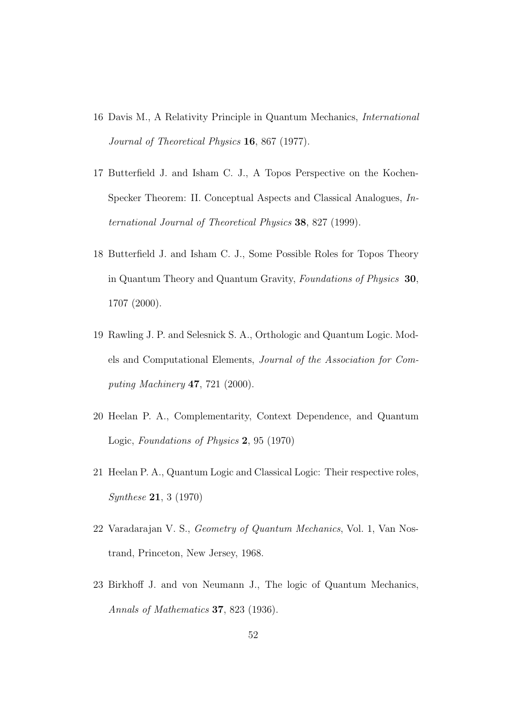- 16 Davis M., A Relativity Principle in Quantum Mechanics, International Journal of Theoretical Physics 16, 867 (1977).
- 17 Butterfield J. and Isham C. J., A Topos Perspective on the Kochen-Specker Theorem: II. Conceptual Aspects and Classical Analogues, International Journal of Theoretical Physics 38, 827 (1999).
- 18 Butterfield J. and Isham C. J., Some Possible Roles for Topos Theory in Quantum Theory and Quantum Gravity, Foundations of Physics 30, 1707 (2000).
- 19 Rawling J. P. and Selesnick S. A., Orthologic and Quantum Logic. Models and Computational Elements, Journal of the Association for Computing Machinery 47, 721 (2000).
- 20 Heelan P. A., Complementarity, Context Dependence, and Quantum Logic, Foundations of Physics 2, 95 (1970)
- 21 Heelan P. A., Quantum Logic and Classical Logic: Their respective roles, Synthese 21, 3 (1970)
- 22 Varadarajan V. S., Geometry of Quantum Mechanics, Vol. 1, Van Nostrand, Princeton, New Jersey, 1968.
- 23 Birkhoff J. and von Neumann J., The logic of Quantum Mechanics, Annals of Mathematics 37, 823 (1936).